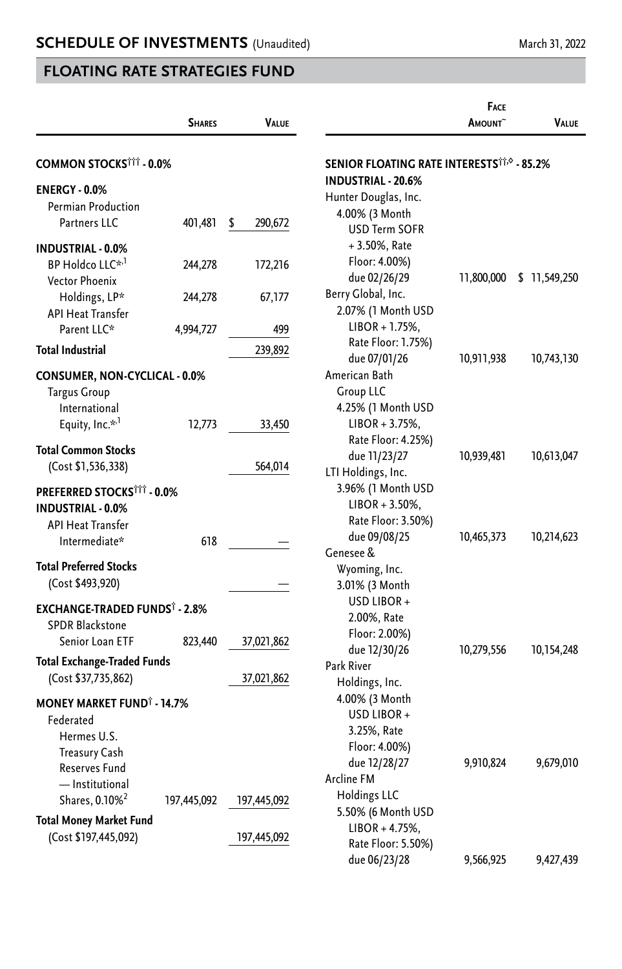|                                              |               |               |                                                              | <b>FACE</b>    |               |
|----------------------------------------------|---------------|---------------|--------------------------------------------------------------|----------------|---------------|
|                                              | <b>SHARES</b> | VALUE         |                                                              | <b>A</b> MOUNT | <b>VALUE</b>  |
| <b>COMMON STOCKSTTT - 0.0%</b>               |               |               | <b>SENIOR FLOATING RATE INTERESTS<sup>††,©</sup> - 85.2%</b> |                |               |
| <b>ENERGY - 0.0%</b>                         |               |               | <b>INDUSTRIAL - 20.6%</b>                                    |                |               |
| Permian Production                           |               |               | Hunter Douglas, Inc.                                         |                |               |
| Partners LLC                                 | 401,481       | \$<br>290,672 | 4.00% (3 Month                                               |                |               |
|                                              |               |               | <b>USD Term SOFR</b>                                         |                |               |
| <b>INDUSTRIAL - 0.0%</b>                     |               |               | $+3.50\%$ , Rate                                             |                |               |
| BP Holdco LLC* <sup>,1</sup>                 | 244,278       | 172,216       | Floor: 4.00%)                                                |                |               |
| <b>Vector Phoenix</b>                        |               |               | due 02/26/29                                                 | 11,800,000     | \$ 11,549,250 |
| Holdings, LP*                                | 244,278       | 67,177        | Berry Global, Inc.                                           |                |               |
| <b>API Heat Transfer</b>                     |               |               | 2.07% (1 Month USD                                           |                |               |
| Parent LLC*                                  | 4,994,727     | 499           | $LIBOR + 1.75%$                                              |                |               |
| <b>Total Industrial</b>                      |               | 239,892       | Rate Floor: 1.75%)                                           |                |               |
|                                              |               |               | due 07/01/26                                                 | 10,911,938     | 10,743,130    |
| <b>CONSUMER, NON-CYCLICAL - 0.0%</b>         |               |               | American Bath                                                |                |               |
| <b>Targus Group</b>                          |               |               | <b>Group LLC</b>                                             |                |               |
| International                                |               |               | 4.25% (1 Month USD                                           |                |               |
| Equity, Inc.* <sup>1</sup>                   | 12,773        | 33,450        | $LIBOR + 3.75%$                                              |                |               |
| <b>Total Common Stocks</b>                   |               |               | Rate Floor: 4.25%)                                           |                |               |
| (Cost \$1,536,338)                           |               | 564,014       | due 11/23/27                                                 | 10,939,481     | 10,613,047    |
|                                              |               |               | LTI Holdings, Inc.                                           |                |               |
| PREFERRED STOCKSTTT - 0.0%                   |               |               | 3.96% (1 Month USD                                           |                |               |
| <b>INDUSTRIAL - 0.0%</b>                     |               |               | $LIBOR + 3.50\%,$                                            |                |               |
| <b>API Heat Transfer</b>                     |               |               | Rate Floor: 3.50%)                                           |                |               |
| Intermediate*                                | 618           |               | due 09/08/25                                                 | 10,465,373     | 10,214,623    |
| <b>Total Preferred Stocks</b>                |               |               | Genesee &                                                    |                |               |
|                                              |               |               | Wyoming, Inc.                                                |                |               |
| (Cost \$493,920)                             |               |               | 3.01% (3 Month                                               |                |               |
| EXCHANGE-TRADED FUNDS <sup>†</sup> - 2.8%    |               |               | USD LIBOR+                                                   |                |               |
| <b>SPDR Blackstone</b>                       |               |               | 2.00%, Rate                                                  |                |               |
| Senior Loan ETF                              | 823,440       | 37,021,862    | Floor: 2.00%)                                                |                |               |
| <b>Total Exchange-Traded Funds</b>           |               |               | due 12/30/26                                                 | 10,279,556     | 10,154,248    |
| (Cost \$37,735,862)                          |               | 37,021,862    | Park River                                                   |                |               |
|                                              |               |               | Holdings, Inc.                                               |                |               |
| <b>MONEY MARKET FUND<sup>®</sup> - 14.7%</b> |               |               | 4.00% (3 Month                                               |                |               |
| Federated                                    |               |               | USD LIBOR+                                                   |                |               |
| Hermes U.S.                                  |               |               | 3.25%, Rate                                                  |                |               |
| <b>Treasury Cash</b>                         |               |               | Floor: 4.00%)                                                |                |               |
| Reserves Fund                                |               |               | due 12/28/27                                                 | 9,910,824      | 9,679,010     |
| - Institutional                              |               |               | <b>Arcline FM</b>                                            |                |               |
| Shares, 0.10% <sup>2</sup>                   | 197,445,092   | 197,445,092   | <b>Holdings LLC</b>                                          |                |               |
| Total Money Market Fund                      |               |               | 5.50% (6 Month USD                                           |                |               |
| (Cost \$197,445,092)                         |               | 197,445,092   | $LIBOR + 4.75%$ ,                                            |                |               |
|                                              |               |               | Rate Floor: 5.50%)                                           |                |               |
|                                              |               |               | due 06/23/28                                                 | 9,566,925      | 9,427,439     |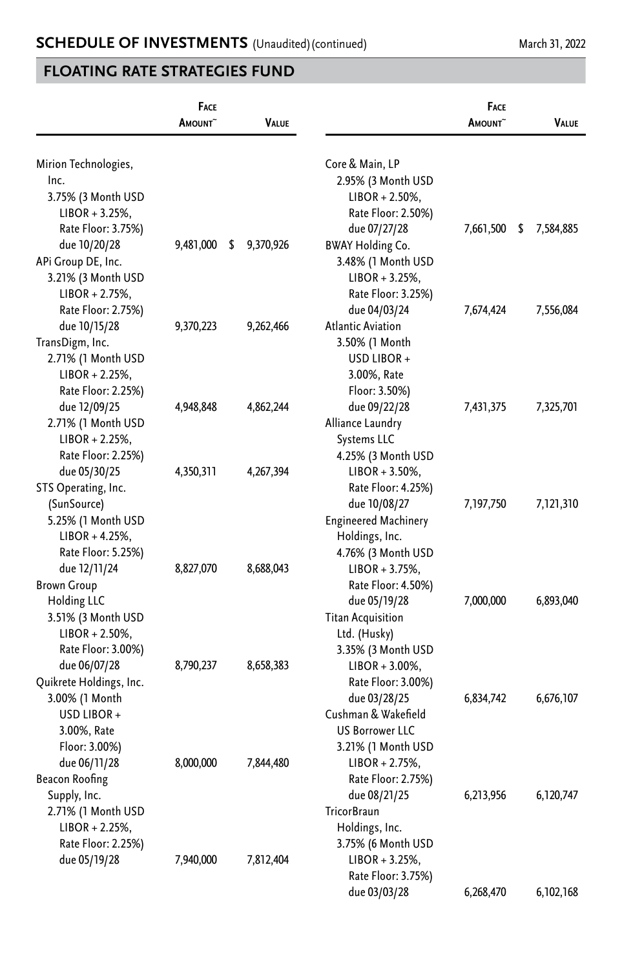|                         | <b>FACE</b><br>AMOUNT <sup>~</sup> | <b>VALUE</b>    |                             | <b>FACE</b><br><b>AMOUNT</b> | <b>VALUE</b>    |
|-------------------------|------------------------------------|-----------------|-----------------------------|------------------------------|-----------------|
| Mirion Technologies,    |                                    |                 | Core & Main, LP             |                              |                 |
| Inc.                    |                                    |                 | 2.95% (3 Month USD          |                              |                 |
| 3.75% (3 Month USD      |                                    |                 | $LIBOR + 2.50\%,$           |                              |                 |
| $LIBOR + 3.25%$         |                                    |                 | Rate Floor: 2.50%)          |                              |                 |
| Rate Floor: 3.75%)      |                                    |                 | due 07/27/28                | 7,661,500                    | \$<br>7,584,885 |
| due 10/20/28            | 9,481,000                          | \$<br>9,370,926 | <b>BWAY Holding Co.</b>     |                              |                 |
| APi Group DE, Inc.      |                                    |                 | 3.48% (1 Month USD          |                              |                 |
| 3.21% (3 Month USD      |                                    |                 | $LIBOR + 3.25%$             |                              |                 |
| $LIBOR + 2.75%$         |                                    |                 | Rate Floor: 3.25%)          |                              |                 |
| Rate Floor: 2.75%)      |                                    |                 | due 04/03/24                | 7,674,424                    | 7,556,084       |
| due 10/15/28            | 9,370,223                          | 9,262,466       | <b>Atlantic Aviation</b>    |                              |                 |
| TransDigm, Inc.         |                                    |                 | 3.50% (1 Month              |                              |                 |
| 2.71% (1 Month USD      |                                    |                 | USD LIBOR +                 |                              |                 |
| $LIBOR + 2.25%$ ,       |                                    |                 | 3.00%, Rate                 |                              |                 |
| Rate Floor: 2.25%)      |                                    |                 | Floor: 3.50%)               |                              |                 |
| due 12/09/25            | 4,948,848                          | 4,862,244       | due 09/22/28                | 7,431,375                    | 7,325,701       |
| 2.71% (1 Month USD      |                                    |                 | Alliance Laundry            |                              |                 |
| $LIBOR + 2.25%$ ,       |                                    |                 | Systems LLC                 |                              |                 |
| Rate Floor: 2.25%)      |                                    |                 | 4.25% (3 Month USD          |                              |                 |
| due 05/30/25            | 4,350,311                          | 4,267,394       | $LIBOR + 3.50\%,$           |                              |                 |
| STS Operating, Inc.     |                                    |                 | Rate Floor: 4.25%)          |                              |                 |
| (SunSource)             |                                    |                 | due 10/08/27                | 7,197,750                    | 7,121,310       |
| 5.25% (1 Month USD      |                                    |                 | <b>Engineered Machinery</b> |                              |                 |
| $LIBOR + 4.25%$ ,       |                                    |                 | Holdings, Inc.              |                              |                 |
| Rate Floor: 5.25%)      |                                    |                 | 4.76% (3 Month USD          |                              |                 |
| due 12/11/24            | 8,827,070                          | 8,688,043       | $LIBOR + 3.75%$             |                              |                 |
| <b>Brown Group</b>      |                                    |                 | Rate Floor: 4.50%)          |                              |                 |
| Holding LLC             |                                    |                 | due 05/19/28                | 7,000,000                    | 6,893,040       |
| 3.51% (3 Month USD      |                                    |                 | <b>Titan Acquisition</b>    |                              |                 |
| $LIBOR + 2.50\%,$       |                                    |                 | Ltd. (Husky)                |                              |                 |
| Rate Floor: 3.00%)      |                                    |                 | 3.35% (3 Month USD          |                              |                 |
| due 06/07/28            | 8,790,237                          | 8,658,383       | LIBOR + 3.00%,              |                              |                 |
| Quikrete Holdings, Inc. |                                    |                 | Rate Floor: 3.00%)          |                              |                 |
| 3.00% (1 Month          |                                    |                 | due 03/28/25                | 6,834,742                    | 6,676,107       |
| USD LIBOR +             |                                    |                 | Cushman & Wakefield         |                              |                 |
| 3.00%, Rate             |                                    |                 | <b>US Borrower LLC</b>      |                              |                 |
| Floor: 3.00%)           |                                    |                 | 3.21% (1 Month USD          |                              |                 |
| due 06/11/28            | 8,000,000                          | 7,844,480       | LIBOR + 2.75%,              |                              |                 |
| Beacon Roofing          |                                    |                 | Rate Floor: 2.75%)          |                              |                 |
| Supply, Inc.            |                                    |                 | due 08/21/25                | 6,213,956                    | 6,120,747       |
| 2.71% (1 Month USD      |                                    |                 | <b>TricorBraun</b>          |                              |                 |
| $LIBOR + 2.25%$         |                                    |                 | Holdings, Inc.              |                              |                 |
| Rate Floor: 2.25%)      |                                    |                 | 3.75% (6 Month USD          |                              |                 |
| due 05/19/28            | 7,940,000                          | 7,812,404       | LIBOR + 3.25%,              |                              |                 |
|                         |                                    |                 | Rate Floor: 3.75%)          |                              |                 |
|                         |                                    |                 | due 03/03/28                | 6,268,470                    | 6,102,168       |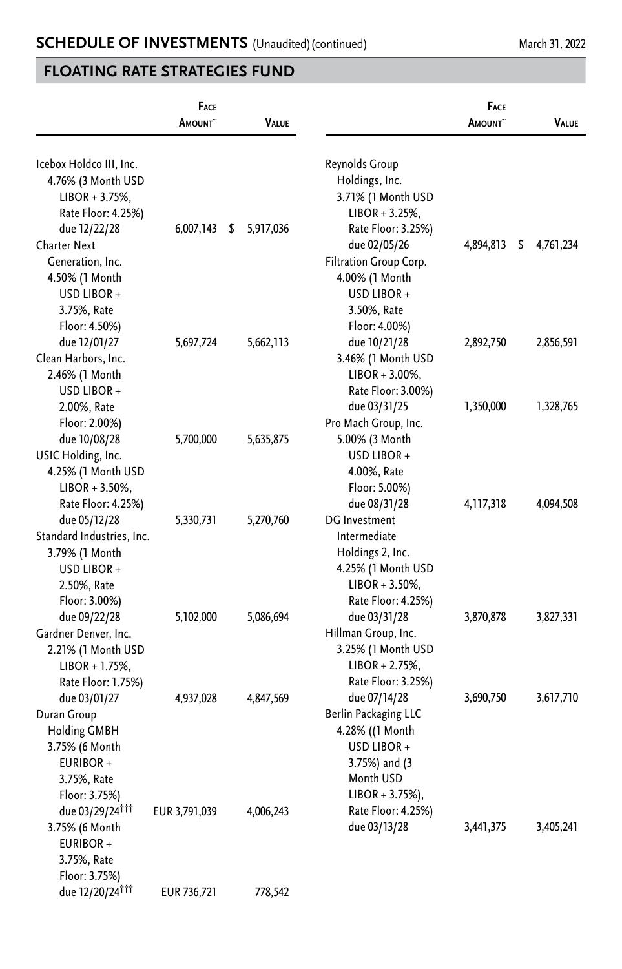|                                              | FACE<br>AMOUNT <sup>~</sup> | <b>VALUE</b>    |                        | FACE<br>AMOUNT <sup>~</sup> | <b>VALUE</b>    |
|----------------------------------------------|-----------------------------|-----------------|------------------------|-----------------------------|-----------------|
| Icebox Holdco III, Inc.                      |                             |                 | Reynolds Group         |                             |                 |
| 4.76% (3 Month USD                           |                             |                 | Holdings, Inc.         |                             |                 |
| $LIBOR + 3.75%$ ,                            |                             |                 | 3.71% (1 Month USD     |                             |                 |
| Rate Floor: 4.25%)                           |                             |                 | $LIBOR + 3.25%$ ,      |                             |                 |
| due 12/22/28                                 | 6,007,143                   | 5,917,036<br>\$ | Rate Floor: 3.25%)     |                             |                 |
| <b>Charter Next</b>                          |                             |                 | due 02/05/26           | 4,894,813                   | \$<br>4,761,234 |
| Generation, Inc.                             |                             |                 | Filtration Group Corp. |                             |                 |
| 4.50% (1 Month                               |                             |                 | 4.00% (1 Month         |                             |                 |
| USD LIBOR +                                  |                             |                 | USD LIBOR +            |                             |                 |
| 3.75%, Rate                                  |                             |                 | 3.50%, Rate            |                             |                 |
| Floor: 4.50%)                                |                             |                 | Floor: 4.00%)          |                             |                 |
| due 12/01/27                                 | 5,697,724                   | 5,662,113       | due 10/21/28           | 2,892,750                   | 2,856,591       |
| Clean Harbors, Inc.                          |                             |                 | 3.46% (1 Month USD     |                             |                 |
| 2.46% (1 Month                               |                             |                 | $LIBOR + 3.00\%$ ,     |                             |                 |
| USD LIBOR +                                  |                             |                 | Rate Floor: 3.00%)     |                             |                 |
| 2.00%, Rate                                  |                             |                 | due 03/31/25           | 1,350,000                   | 1,328,765       |
| Floor: 2.00%)                                |                             |                 | Pro Mach Group, Inc.   |                             |                 |
| due 10/08/28                                 | 5,700,000                   | 5,635,875       | 5.00% (3 Month         |                             |                 |
| USIC Holding, Inc.                           |                             |                 | USD LIBOR +            |                             |                 |
| 4.25% (1 Month USD                           |                             |                 | 4.00%, Rate            |                             |                 |
| $LIBOR + 3.50\%$ ,                           |                             |                 | Floor: 5.00%)          |                             |                 |
| Rate Floor: 4.25%)                           |                             |                 | due 08/31/28           | 4, 117, 318                 | 4,094,508       |
| due 05/12/28                                 | 5,330,731                   | 5,270,760       | DG Investment          |                             |                 |
| Standard Industries, Inc.                    |                             |                 | Intermediate           |                             |                 |
| 3.79% (1 Month                               |                             |                 | Holdings 2, Inc.       |                             |                 |
| USD LIBOR +                                  |                             |                 | 4.25% (1 Month USD     |                             |                 |
| 2.50%, Rate                                  |                             |                 | $LIBOR + 3.50\%,$      |                             |                 |
| Floor: 3.00%)                                |                             |                 | Rate Floor: 4.25%)     |                             |                 |
| due 09/22/28                                 | 5,102,000                   | 5,086,694       | due 03/31/28           | 3,870,878                   | 3,827,331       |
| Gardner Denver, Inc.                         |                             |                 | Hillman Group, Inc.    |                             |                 |
| 2.21% (1 Month USD                           |                             |                 | 3.25% (1 Month USD     |                             |                 |
| $LIBOR + 1.75%$ ,                            |                             |                 | $LIBOR + 2.75%$ ,      |                             |                 |
| Rate Floor: 1.75%)                           |                             |                 | Rate Floor: 3.25%)     |                             |                 |
| due 03/01/27                                 | 4,937,028                   | 4,847,569       | due 07/14/28           | 3,690,750                   | 3,617,710       |
| Duran Group                                  |                             |                 | Berlin Packaging LLC   |                             |                 |
| <b>Holding GMBH</b>                          |                             |                 | 4.28% ((1 Month        |                             |                 |
| 3.75% (6 Month                               |                             |                 | USD LIBOR +            |                             |                 |
| EURIBOR+                                     |                             |                 | 3.75%) and (3          |                             |                 |
| 3.75%, Rate                                  |                             |                 | Month USD              |                             |                 |
| Floor: 3.75%)                                |                             |                 | $LIBOR + 3.75\%$ ),    |                             |                 |
| due 03/29/24 <sup>111</sup>                  | EUR 3,791,039               | 4,006,243       | Rate Floor: 4.25%)     |                             |                 |
| 3.75% (6 Month                               |                             |                 | due 03/13/28           | 3,441,375                   | 3,405,241       |
| EURIBOR+                                     |                             |                 |                        |                             |                 |
| 3.75%, Rate                                  |                             |                 |                        |                             |                 |
| Floor: 3.75%)<br>due 12/20/24 <sup>111</sup> |                             |                 |                        |                             |                 |
|                                              | EUR 736,721                 | 778,542         |                        |                             |                 |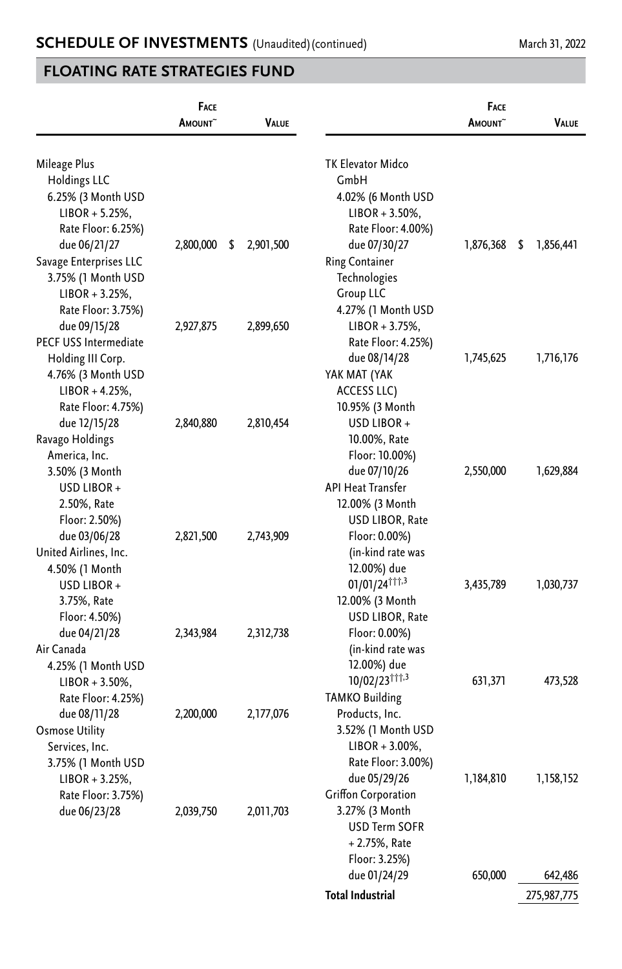|                        | <b>FACE</b><br>AMOUNT <sup>~</sup> | <b>VALUE</b>    |                             | FACE<br>AMOUNT <sup>~</sup> | <b>VALUE</b>    |
|------------------------|------------------------------------|-----------------|-----------------------------|-----------------------------|-----------------|
|                        |                                    |                 |                             |                             |                 |
| Mileage Plus           |                                    |                 | TK Elevator Midco           |                             |                 |
| <b>Holdings LLC</b>    |                                    |                 | GmbH                        |                             |                 |
| 6.25% (3 Month USD     |                                    |                 | 4.02% (6 Month USD          |                             |                 |
| $LIBOR + 5.25\%,$      |                                    |                 | $LIBOR + 3.50\%,$           |                             |                 |
| Rate Floor: 6.25%)     |                                    |                 | Rate Floor: 4.00%)          |                             |                 |
| due 06/21/27           | 2,800,000                          | 2,901,500<br>\$ | due 07/30/27                | 1,876,368                   | \$<br>1,856,441 |
| Savage Enterprises LLC |                                    |                 | <b>Ring Container</b>       |                             |                 |
| 3.75% (1 Month USD     |                                    |                 | Technologies                |                             |                 |
| $LIBOR + 3.25%$        |                                    |                 | <b>Group LLC</b>            |                             |                 |
| Rate Floor: 3.75%)     |                                    |                 | 4.27% (1 Month USD          |                             |                 |
| due 09/15/28           | 2,927,875                          | 2,899,650       | $LIBOR + 3.75%$ ,           |                             |                 |
| PECF USS Intermediate  |                                    |                 | Rate Floor: 4.25%)          |                             |                 |
| Holding III Corp.      |                                    |                 | due 08/14/28                | 1,745,625                   | 1,716,176       |
| 4.76% (3 Month USD     |                                    |                 | YAK MAT (YAK                |                             |                 |
| $LIBOR + 4.25%$ ,      |                                    |                 | ACCESS LLC)                 |                             |                 |
| Rate Floor: 4.75%)     |                                    |                 | 10.95% (3 Month             |                             |                 |
| due 12/15/28           | 2,840,880                          | 2,810,454       | USD LIBOR +                 |                             |                 |
| Ravago Holdings        |                                    |                 | 10.00%, Rate                |                             |                 |
| America, Inc.          |                                    |                 | Floor: 10.00%)              |                             |                 |
| 3.50% (3 Month         |                                    |                 | due 07/10/26                | 2,550,000                   | 1,629,884       |
| USD LIBOR +            |                                    |                 | <b>API Heat Transfer</b>    |                             |                 |
| 2.50%, Rate            |                                    |                 | 12.00% (3 Month             |                             |                 |
| Floor: 2.50%)          |                                    |                 | USD LIBOR, Rate             |                             |                 |
| due 03/06/28           | 2,821,500                          | 2,743,909       | Floor: 0.00%)               |                             |                 |
| United Airlines, Inc.  |                                    |                 | (in-kind rate was           |                             |                 |
| 4.50% (1 Month         |                                    |                 | 12.00%) due                 |                             |                 |
| USD LIBOR +            |                                    |                 | $01/01/24$ <sup>†††,3</sup> | 3,435,789                   | 1,030,737       |
| 3.75%, Rate            |                                    |                 | 12.00% (3 Month             |                             |                 |
| Floor: 4.50%)          |                                    |                 | USD LIBOR, Rate             |                             |                 |
| due 04/21/28           | 2,343,984                          | 2,312,738       | Floor: 0.00%)               |                             |                 |
| Air Canada             |                                    |                 | (in-kind rate was           |                             |                 |
| 4.25% (1 Month USD     |                                    |                 | 12.00%) due                 |                             |                 |
| $LIBOR + 3.50\%$       |                                    |                 | 10/02/23 11,3               | 631,371                     | 473,528         |
| Rate Floor: 4.25%)     |                                    |                 | <b>TAMKO Building</b>       |                             |                 |
| due 08/11/28           | 2,200,000                          | 2,177,076       | Products, Inc.              |                             |                 |
| <b>Osmose Utility</b>  |                                    |                 | 3.52% (1 Month USD          |                             |                 |
| Services, Inc.         |                                    |                 | $LIBOR + 3.00\%$ ,          |                             |                 |
| 3.75% (1 Month USD     |                                    |                 | Rate Floor: 3.00%)          |                             |                 |
| $LIBOR + 3.25%$        |                                    |                 | due 05/29/26                | 1,184,810                   | 1,158,152       |
| Rate Floor: 3.75%)     |                                    |                 | Griffon Corporation         |                             |                 |
| due 06/23/28           | 2,039,750                          | 2,011,703       | 3.27% (3 Month              |                             |                 |
|                        |                                    |                 | <b>USD Term SOFR</b>        |                             |                 |
|                        |                                    |                 | $+2.75%$ , Rate             |                             |                 |
|                        |                                    |                 | Floor: 3.25%)               |                             |                 |
|                        |                                    |                 | due 01/24/29                | 650,000                     | 642,486         |
|                        |                                    |                 | <b>Total Industrial</b>     |                             | 275,987,775     |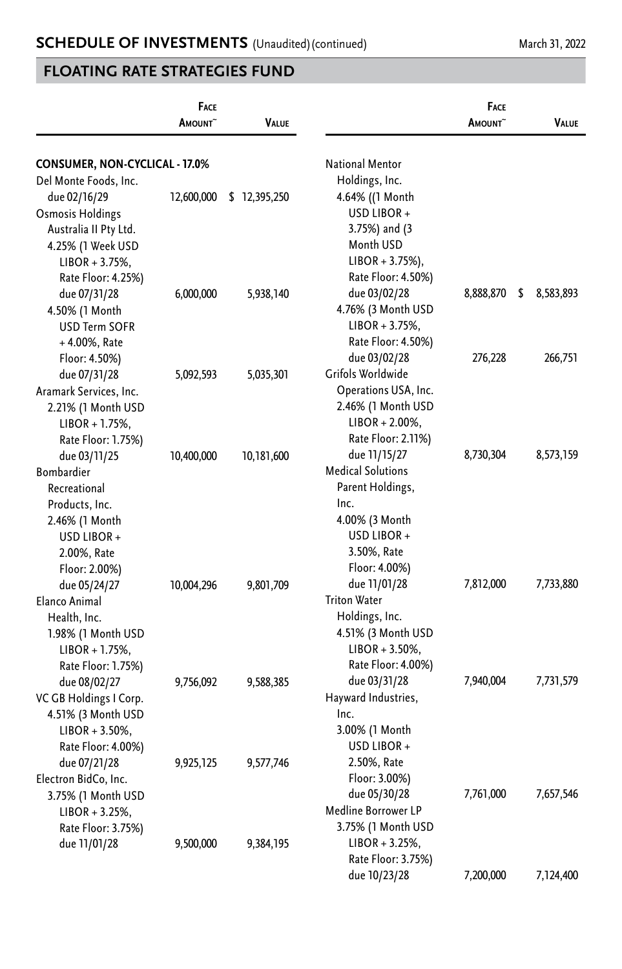|                                | FACE<br>AMOUNT <sup>~</sup> | VALUE        |                                          | FACE<br>AMOUNT <sup>~</sup> | Value           |
|--------------------------------|-----------------------------|--------------|------------------------------------------|-----------------------------|-----------------|
| CONSUMER, NON-CYCLICAL - 17.0% |                             |              | <b>National Mentor</b>                   |                             |                 |
| Del Monte Foods, Inc.          |                             |              | Holdings, Inc.                           |                             |                 |
| due 02/16/29                   | 12,600,000                  | \$12,395,250 | 4.64% ((1 Month                          |                             |                 |
| Osmosis Holdings               |                             |              | USD LIBOR +                              |                             |                 |
| Australia II Pty Ltd.          |                             |              | 3.75%) and (3                            |                             |                 |
| 4.25% (1 Week USD              |                             |              | Month USD                                |                             |                 |
| $LIBOR + 3.75%$ ,              |                             |              | $LIBOR + 3.75\%$ ),                      |                             |                 |
| Rate Floor: 4.25%)             |                             |              | Rate Floor: 4.50%)                       |                             |                 |
| due 07/31/28                   | 6,000,000                   | 5,938,140    | due 03/02/28                             | 8,888,870                   | \$<br>8,583,893 |
| 4.50% (1 Month                 |                             |              | 4.76% (3 Month USD                       |                             |                 |
| USD Term SOFR                  |                             |              | $LIBOR + 3.75%$ ,                        |                             |                 |
| +4.00%, Rate                   |                             |              | Rate Floor: 4.50%)                       |                             |                 |
| Floor: 4.50%)                  |                             |              | due 03/02/28                             | 276,228                     | 266,751         |
| due 07/31/28                   | 5,092,593                   | 5,035,301    | Grifols Worldwide                        |                             |                 |
| Aramark Services, Inc.         |                             |              | Operations USA, Inc.                     |                             |                 |
| 2.21% (1 Month USD             |                             |              | 2.46% (1 Month USD                       |                             |                 |
| $LIBOR + 1.75%$                |                             |              | $LIBOR + 2.00\%$ ,                       |                             |                 |
| Rate Floor: 1.75%)             |                             |              | Rate Floor: 2.11%)                       |                             |                 |
| due 03/11/25                   | 10,400,000                  | 10,181,600   | due 11/15/27<br><b>Medical Solutions</b> | 8,730,304                   | 8,573,159       |
| <b>Bombardier</b>              |                             |              | Parent Holdings,                         |                             |                 |
| Recreational<br>Products, Inc. |                             |              | Inc.                                     |                             |                 |
| 2.46% (1 Month                 |                             |              | 4.00% (3 Month                           |                             |                 |
| USD LIBOR +                    |                             |              | USD LIBOR +                              |                             |                 |
| 2.00%, Rate                    |                             |              | 3.50%, Rate                              |                             |                 |
| Floor: 2.00%)                  |                             |              | Floor: 4.00%)                            |                             |                 |
| due 05/24/27                   | 10,004,296                  | 9,801,709    | due 11/01/28                             | 7,812,000                   | 7,733,880       |
| Elanco Animal                  |                             |              | <b>Triton Water</b>                      |                             |                 |
| Health, Inc.                   |                             |              | Holdings, Inc.                           |                             |                 |
| 1.98% (1 Month USD             |                             |              | 4.51% (3 Month USD                       |                             |                 |
| $LIBOR + 1.75%$ ,              |                             |              | $LIBOR + 3.50\%,$                        |                             |                 |
| Rate Floor: 1.75%)             |                             |              | Rate Floor: 4.00%)                       |                             |                 |
| due 08/02/27                   | 9,756,092                   | 9,588,385    | due 03/31/28                             | 7,940,004                   | 7,731,579       |
| VC GB Holdings I Corp.         |                             |              | Hayward Industries,                      |                             |                 |
| 4.51% (3 Month USD             |                             |              | Inc.                                     |                             |                 |
| $LIBOR + 3.50\%$               |                             |              | 3.00% (1 Month                           |                             |                 |
| Rate Floor: 4.00%)             |                             |              | USD LIBOR +                              |                             |                 |
| due 07/21/28                   | 9,925,125                   | 9,577,746    | 2.50%, Rate                              |                             |                 |
| Electron BidCo, Inc.           |                             |              | Floor: 3.00%)                            |                             |                 |
| 3.75% (1 Month USD             |                             |              | due 05/30/28                             | 7,761,000                   | 7,657,546       |
| $LIBOR + 3.25\%,$              |                             |              | Medline Borrower LP                      |                             |                 |
| Rate Floor: 3.75%)             |                             |              | 3.75% (1 Month USD                       |                             |                 |
| due 11/01/28                   | 9,500,000                   | 9,384,195    | $LIBOR + 3.25\%,$                        |                             |                 |
|                                |                             |              | Rate Floor: 3.75%)                       |                             |                 |
|                                |                             |              | due 10/23/28                             | 7,200,000                   | 7,124,400       |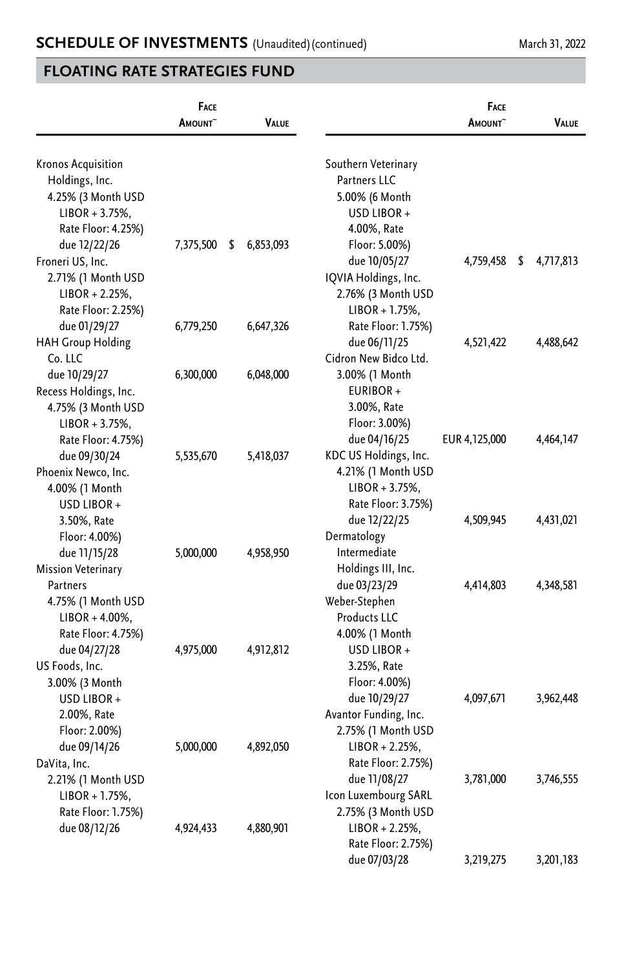|                           | FACE<br>AMOUNT <sup>~</sup> | <b>VALUE</b>    |                       | FACE<br>AMOUNT <sup>~</sup> | VALUE           |
|---------------------------|-----------------------------|-----------------|-----------------------|-----------------------------|-----------------|
|                           |                             |                 |                       |                             |                 |
| <b>Kronos Acquisition</b> |                             |                 | Southern Veterinary   |                             |                 |
| Holdings, Inc.            |                             |                 | Partners LLC          |                             |                 |
| 4.25% (3 Month USD        |                             |                 | 5.00% (6 Month        |                             |                 |
| $LIBOR + 3.75%$           |                             |                 | USD LIBOR+            |                             |                 |
| Rate Floor: 4.25%)        |                             |                 | 4.00%, Rate           |                             |                 |
| due 12/22/26              | 7,375,500                   | 6,853,093<br>\$ | Floor: 5.00%)         |                             |                 |
| Froneri US, Inc.          |                             |                 | due 10/05/27          | 4,759,458                   | \$<br>4,717,813 |
| 2.71% (1 Month USD        |                             |                 | IQVIA Holdings, Inc.  |                             |                 |
| $LIBOR + 2.25%$           |                             |                 | 2.76% (3 Month USD    |                             |                 |
| Rate Floor: 2.25%)        |                             |                 | $LIBOR + 1.75%$ ,     |                             |                 |
| due 01/29/27              | 6,779,250                   | 6,647,326       | Rate Floor: 1.75%)    |                             |                 |
| <b>HAH Group Holding</b>  |                             |                 | due 06/11/25          | 4,521,422                   | 4,488,642       |
| Co. LLC                   |                             |                 | Cidron New Bidco Ltd. |                             |                 |
| due 10/29/27              | 6,300,000                   | 6,048,000       | 3.00% (1 Month        |                             |                 |
| Recess Holdings, Inc.     |                             |                 | EURIBOR+              |                             |                 |
| 4.75% (3 Month USD        |                             |                 | 3.00%, Rate           |                             |                 |
| $LIBOR + 3.75%$ ,         |                             |                 | Floor: 3.00%)         |                             |                 |
| Rate Floor: 4.75%)        |                             |                 | due 04/16/25          | EUR 4,125,000               | 4,464,147       |
| due 09/30/24              | 5,535,670                   | 5,418,037       | KDC US Holdings, Inc. |                             |                 |
| Phoenix Newco, Inc.       |                             |                 | 4.21% (1 Month USD    |                             |                 |
| 4.00% (1 Month            |                             |                 | $LIBOR + 3.75%$ ,     |                             |                 |
| USD LIBOR +               |                             |                 | Rate Floor: 3.75%)    |                             |                 |
| 3.50%, Rate               |                             |                 | due 12/22/25          | 4,509,945                   | 4,431,021       |
| Floor: 4.00%)             |                             |                 | Dermatology           |                             |                 |
| due 11/15/28              | 5,000,000                   | 4,958,950       | Intermediate          |                             |                 |
| <b>Mission Veterinary</b> |                             |                 | Holdings III, Inc.    |                             |                 |
| Partners                  |                             |                 | due 03/23/29          | 4,414,803                   | 4,348,581       |
| 4.75% (1 Month USD        |                             |                 | Weber-Stephen         |                             |                 |
| $LIBOR + 4.00\%$ ,        |                             |                 | Products LLC          |                             |                 |
| Rate Floor: 4.75%)        |                             |                 | 4.00% (1 Month        |                             |                 |
| due 04/27/28              | 4,975,000                   | 4,912,812       | USD LIBOR +           |                             |                 |
| US Foods, Inc.            |                             |                 | 3.25%, Rate           |                             |                 |
| 3.00% (3 Month            |                             |                 | Floor: 4.00%)         |                             |                 |
| USD LIBOR +               |                             |                 | due 10/29/27          | 4,097,671                   | 3,962,448       |
| 2.00%, Rate               |                             |                 | Avantor Funding, Inc. |                             |                 |
| Floor: 2.00%)             |                             |                 | 2.75% (1 Month USD    |                             |                 |
| due 09/14/26              | 5,000,000                   | 4,892,050       | $LIBOR + 2.25%$       |                             |                 |
| DaVita, Inc.              |                             |                 | Rate Floor: 2.75%)    |                             |                 |
| 2.21% (1 Month USD        |                             |                 | due 11/08/27          | 3,781,000                   | 3,746,555       |
| $LIBOR + 1.75%$           |                             |                 | Icon Luxembourg SARL  |                             |                 |
| Rate Floor: 1.75%)        |                             |                 | 2.75% (3 Month USD    |                             |                 |
| due 08/12/26              | 4,924,433                   | 4,880,901       | $LIBOR + 2.25%$       |                             |                 |
|                           |                             |                 | Rate Floor: 2.75%)    |                             |                 |
|                           |                             |                 | due 07/03/28          | 3,219,275                   | 3,201,183       |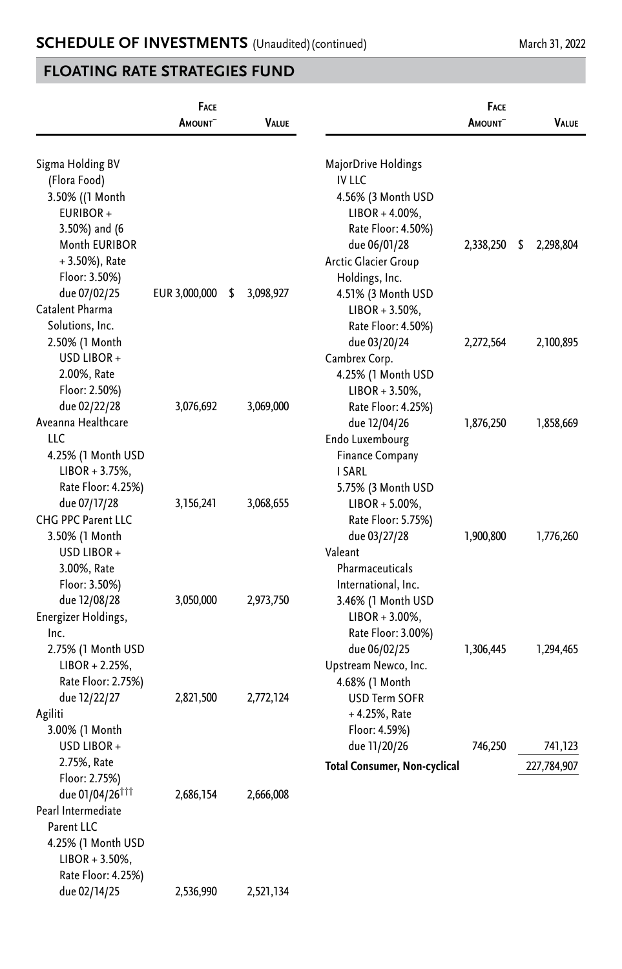|                             | FACE                |    |              | <b>FACE</b>                         |                     |   |              |
|-----------------------------|---------------------|----|--------------|-------------------------------------|---------------------|---|--------------|
|                             | AMOUNT <sup>~</sup> |    | <b>VALUE</b> |                                     | AMOUNT <sup>~</sup> |   | <b>VALUE</b> |
|                             |                     |    |              |                                     |                     |   |              |
| Sigma Holding BV            |                     |    |              | MajorDrive Holdings                 |                     |   |              |
| (Flora Food)                |                     |    |              | <b>IV LLC</b>                       |                     |   |              |
| 3.50% ((1 Month)            |                     |    |              | 4.56% (3 Month USD                  |                     |   |              |
| EURIBOR+                    |                     |    |              | $LIBOR + 4.00\%$ ,                  |                     |   |              |
| 3.50%) and (6               |                     |    |              | Rate Floor: 4.50%)                  |                     |   |              |
| Month EURIBOR               |                     |    |              | due 06/01/28                        | 2,338,250           | S | 2,298,804    |
| $+3.50\%$ ), Rate           |                     |    |              | Arctic Glacier Group                |                     |   |              |
| Floor: 3.50%)               |                     |    |              | Holdings, Inc.                      |                     |   |              |
| due 07/02/25                | EUR 3,000,000       | \$ | 3,098,927    | 4.51% (3 Month USD                  |                     |   |              |
| Catalent Pharma             |                     |    |              | $LIBOR + 3.50\%,$                   |                     |   |              |
| Solutions, Inc.             |                     |    |              | Rate Floor: 4.50%)                  |                     |   |              |
| 2.50% (1 Month              |                     |    |              | due 03/20/24                        | 2,272,564           |   | 2,100,895    |
| USD LIBOR +                 |                     |    |              | Cambrex Corp.                       |                     |   |              |
| 2.00%, Rate                 |                     |    |              | 4.25% (1 Month USD                  |                     |   |              |
| Floor: 2.50%)               |                     |    |              | $LIBOR + 3.50\%,$                   |                     |   |              |
| due 02/22/28                | 3,076,692           |    | 3,069,000    | Rate Floor: 4.25%)                  |                     |   |              |
| Aveanna Healthcare          |                     |    |              | due 12/04/26                        | 1,876,250           |   | 1,858,669    |
| LLC                         |                     |    |              | Endo Luxembourg                     |                     |   |              |
| 4.25% (1 Month USD          |                     |    |              | <b>Finance Company</b>              |                     |   |              |
| $LIBOR + 3.75%$             |                     |    |              | <b>I SARL</b>                       |                     |   |              |
| Rate Floor: 4.25%)          |                     |    |              | 5.75% (3 Month USD                  |                     |   |              |
| due 07/17/28                | 3,156,241           |    | 3,068,655    | $LIBOR + 5.00\%,$                   |                     |   |              |
| CHG PPC Parent LLC          |                     |    |              | Rate Floor: 5.75%)                  |                     |   |              |
| 3.50% (1 Month              |                     |    |              | due 03/27/28                        | 1,900,800           |   | 1,776,260    |
| USD LIBOR +                 |                     |    |              | Valeant                             |                     |   |              |
| 3.00%, Rate                 |                     |    |              | Pharmaceuticals                     |                     |   |              |
| Floor: 3.50%)               |                     |    |              | International, Inc.                 |                     |   |              |
|                             |                     |    |              |                                     |                     |   |              |
| due 12/08/28                | 3,050,000           |    | 2,973,750    | 3.46% (1 Month USD                  |                     |   |              |
| Energizer Holdings,         |                     |    |              | $LIBOR + 3.00\%,$                   |                     |   |              |
| Inc.                        |                     |    |              | Rate Floor: 3.00%)                  |                     |   |              |
| 2.75% (1 Month USD          |                     |    |              | due 06/02/25                        | 1,306,445           |   | 1,294,465    |
| $LIBOR + 2.25%$             |                     |    |              | Upstream Newco, Inc.                |                     |   |              |
| Rate Floor: 2.75%)          |                     |    |              | 4.68% (1 Month                      |                     |   |              |
| due 12/22/27                | 2,821,500           |    | 2,772,124    | USD Term SOFR                       |                     |   |              |
| Agiliti                     |                     |    |              | + 4.25%, Rate                       |                     |   |              |
| 3.00% (1 Month              |                     |    |              | Floor: 4.59%)                       |                     |   |              |
| USD LIBOR +                 |                     |    |              | due 11/20/26                        | 746,250             |   | 741,123      |
| 2.75%, Rate                 |                     |    |              | <b>Total Consumer, Non-cyclical</b> |                     |   | 227,784,907  |
| Floor: 2.75%)               |                     |    |              |                                     |                     |   |              |
| due 01/04/26 <sup>TTT</sup> | 2,686,154           |    | 2,666,008    |                                     |                     |   |              |
| Pearl Intermediate          |                     |    |              |                                     |                     |   |              |
| Parent LLC                  |                     |    |              |                                     |                     |   |              |
| 4.25% (1 Month USD          |                     |    |              |                                     |                     |   |              |
| $LIBOR + 3.50\%,$           |                     |    |              |                                     |                     |   |              |
| Rate Floor: 4.25%)          |                     |    |              |                                     |                     |   |              |
| due 02/14/25                | 2,536,990           |    | 2,521,134    |                                     |                     |   |              |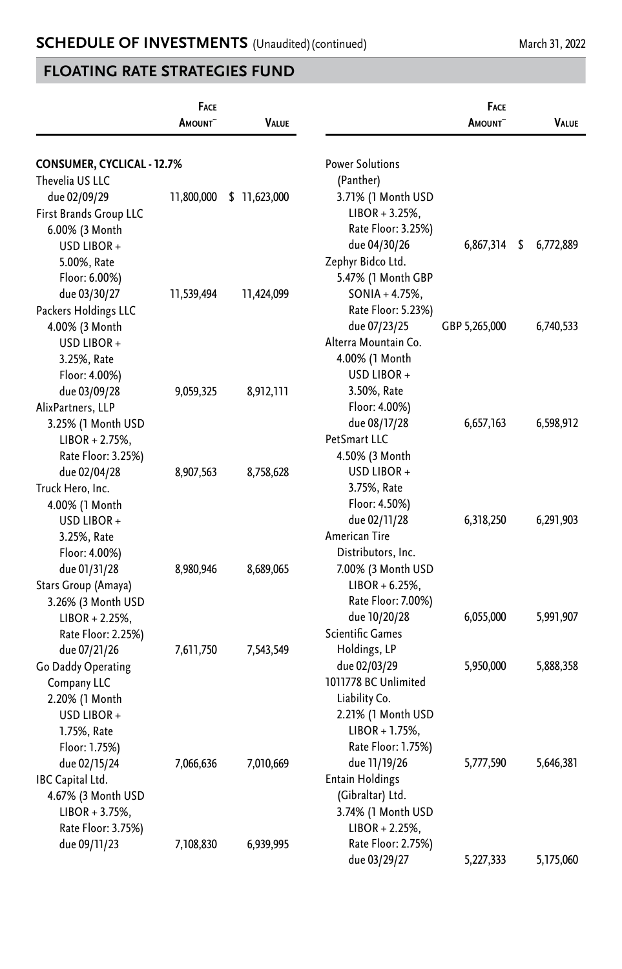|                            | <b>FACE</b><br><b>A</b> MOUNT | VALUE         |                        | FACE<br><b>A</b> MOUNT | VALUE           |
|----------------------------|-------------------------------|---------------|------------------------|------------------------|-----------------|
| CONSUMER, CYCLICAL - 12.7% |                               |               | <b>Power Solutions</b> |                        |                 |
| Thevelia US LLC            |                               |               | (Panther)              |                        |                 |
| due 02/09/29               | 11,800,000                    | \$ 11,623,000 | 3.71% (1 Month USD     |                        |                 |
| First Brands Group LLC     |                               |               | $LIBOR + 3.25%$        |                        |                 |
| 6.00% (3 Month             |                               |               | Rate Floor: 3.25%)     |                        |                 |
| USD LIBOR+                 |                               |               | due 04/30/26           | 6,867,314              | \$<br>6,772,889 |
| 5.00%, Rate                |                               |               | Zephyr Bidco Ltd.      |                        |                 |
| Floor: 6.00%)              |                               |               | 5.47% (1 Month GBP     |                        |                 |
| due 03/30/27               | 11,539,494                    | 11,424,099    | $SONIA + 4.75%$ ,      |                        |                 |
| Packers Holdings LLC       |                               |               | Rate Floor: 5.23%)     |                        |                 |
| 4.00% (3 Month             |                               |               | due 07/23/25           | GBP 5,265,000          | 6,740,533       |
| USD LIBOR+                 |                               |               | Alterra Mountain Co.   |                        |                 |
| 3.25%, Rate                |                               |               | 4.00% (1 Month         |                        |                 |
| Floor: 4.00%)              |                               |               | USD LIBOR+             |                        |                 |
| due 03/09/28               | 9,059,325                     | 8,912,111     | 3.50%, Rate            |                        |                 |
| AlixPartners, LLP          |                               |               | Floor: 4.00%)          |                        |                 |
| 3.25% (1 Month USD         |                               |               | due 08/17/28           | 6,657,163              | 6,598,912       |
| $LIBOR + 2.75%$            |                               |               | PetSmart LLC           |                        |                 |
| Rate Floor: 3.25%)         |                               |               | 4.50% (3 Month         |                        |                 |
| due 02/04/28               | 8,907,563                     | 8,758,628     | USD LIBOR +            |                        |                 |
| Truck Hero, Inc.           |                               |               | 3.75%, Rate            |                        |                 |
| 4.00% (1 Month             |                               |               | Floor: 4.50%)          |                        |                 |
| USD LIBOR+                 |                               |               | due 02/11/28           | 6,318,250              | 6,291,903       |
| 3.25%, Rate                |                               |               | American Tire          |                        |                 |
| Floor: 4.00%)              |                               |               | Distributors, Inc.     |                        |                 |
| due 01/31/28               | 8,980,946                     | 8,689,065     | 7.00% (3 Month USD     |                        |                 |
| Stars Group (Amaya)        |                               |               | $LIBOR + 6.25%$        |                        |                 |
| 3.26% (3 Month USD         |                               |               | Rate Floor: 7.00%)     |                        |                 |
| $LIBOR + 2.25%$            |                               |               | due 10/20/28           | 6,055,000              | 5,991,907       |
| Rate Floor: 2.25%)         |                               |               | Scientific Games       |                        |                 |
| due 07/21/26               | 7,611,750                     | 7,543,549     | Holdings, LP           |                        |                 |
| Go Daddy Operating         |                               |               | due 02/03/29           | 5,950,000              | 5,888,358       |
| Company LLC                |                               |               | 1011778 BC Unlimited   |                        |                 |
| 2.20% (1 Month             |                               |               | Liability Co.          |                        |                 |
| USD LIBOR+                 |                               |               | 2.21% (1 Month USD     |                        |                 |
| 1.75%, Rate                |                               |               | $LIBOR + 1.75%$ ,      |                        |                 |
| Floor: 1.75%)              |                               |               | Rate Floor: 1.75%)     |                        |                 |
| due 02/15/24               | 7,066,636                     | 7,010,669     | due 11/19/26           | 5,777,590              | 5,646,381       |
| IBC Capital Ltd.           |                               |               | <b>Entain Holdings</b> |                        |                 |
| 4.67% (3 Month USD         |                               |               | (Gibraltar) Ltd.       |                        |                 |
| $LIBOR + 3.75%$ ,          |                               |               | 3.74% (1 Month USD     |                        |                 |
| Rate Floor: 3.75%)         |                               |               | $LIBOR + 2.25%$        |                        |                 |
| due 09/11/23               | 7,108,830                     | 6,939,995     | Rate Floor: 2.75%)     |                        |                 |
|                            |                               |               | due 03/29/27           | 5,227,333              | 5,175,060       |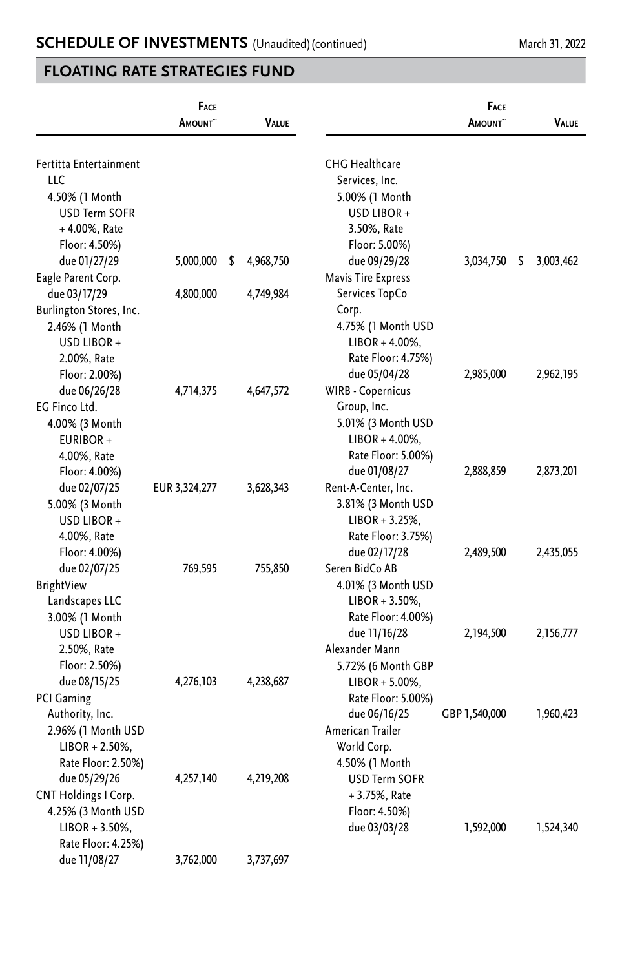|                             | <b>FACE</b><br><b>A</b> mount~ | VALUE           |                           | FACE<br><b>A</b> mount~ | VALUE           |
|-----------------------------|--------------------------------|-----------------|---------------------------|-------------------------|-----------------|
| Fertitta Entertainment      |                                |                 | <b>CHG Healthcare</b>     |                         |                 |
| <b>LLC</b>                  |                                |                 | Services, Inc.            |                         |                 |
| 4.50% (1 Month              |                                |                 | 5.00% (1 Month            |                         |                 |
| <b>USD Term SOFR</b>        |                                |                 | USD LIBOR+                |                         |                 |
| $+4.00\%$ , Rate            |                                |                 | 3.50%, Rate               |                         |                 |
| Floor: 4.50%)               |                                |                 | Floor: 5.00%)             |                         |                 |
| due 01/27/29                | 5,000,000                      | \$<br>4,968,750 | due 09/29/28              | 3,034,750               | \$<br>3,003,462 |
| Eagle Parent Corp.          |                                |                 | <b>Mavis Tire Express</b> |                         |                 |
| due 03/17/29                | 4,800,000                      | 4,749,984       | Services TopCo            |                         |                 |
| Burlington Stores, Inc.     |                                |                 | Corp.                     |                         |                 |
| 2.46% (1 Month              |                                |                 | 4.75% (1 Month USD        |                         |                 |
| USD LIBOR +                 |                                |                 | $LIBOR + 4.00\%$ ,        |                         |                 |
| 2.00%, Rate                 |                                |                 | Rate Floor: 4.75%)        |                         |                 |
| Floor: 2.00%)               |                                |                 | due 05/04/28              | 2,985,000               | 2,962,195       |
| due 06/26/28                | 4,714,375                      | 4,647,572       | WIRB - Copernicus         |                         |                 |
| EG Finco Ltd.               |                                |                 | Group, Inc.               |                         |                 |
| 4.00% (3 Month              |                                |                 | 5.01% (3 Month USD        |                         |                 |
| EURIBOR+                    |                                |                 | LIBOR + 4.00%,            |                         |                 |
| 4.00%, Rate                 |                                |                 | Rate Floor: 5.00%)        |                         |                 |
| Floor: 4.00%)               |                                |                 | due 01/08/27              | 2,888,859               | 2,873,201       |
| due 02/07/25                | EUR 3,324,277                  | 3,628,343       | Rent-A-Center, Inc.       |                         |                 |
| 5.00% (3 Month              |                                |                 | 3.81% (3 Month USD        |                         |                 |
| USD LIBOR +                 |                                |                 | $LIBOR + 3.25%$           |                         |                 |
| 4.00%, Rate                 |                                |                 | Rate Floor: 3.75%)        |                         |                 |
| Floor: 4.00%)               |                                |                 | due 02/17/28              | 2,489,500               | 2,435,055       |
| due 02/07/25                | 769,595                        | 755,850         | Seren BidCo AB            |                         |                 |
| BrightView                  |                                |                 | 4.01% (3 Month USD        |                         |                 |
| Landscapes LLC              |                                |                 | $LIBOR + 3.50\%,$         |                         |                 |
| 3.00% (1 Month              |                                |                 | Rate Floor: 4.00%)        |                         |                 |
| USD LIBOR +                 |                                |                 | due 11/16/28              | 2,194,500               | 2,156,777       |
| 2.50%, Rate                 |                                |                 | Alexander Mann            |                         |                 |
| Floor: 2.50%)               |                                |                 | 5.72% (6 Month GBP        |                         |                 |
| due 08/15/25                | 4,276,103                      | 4,238,687       | $LIBOR + 5.00\%$ ,        |                         |                 |
| <b>PCI Gaming</b>           |                                |                 | Rate Floor: 5.00%)        |                         |                 |
| Authority, Inc.             |                                |                 | due 06/16/25              | GBP 1,540,000           | 1,960,423       |
| 2.96% (1 Month USD          |                                |                 | American Trailer          |                         |                 |
| $LIBOR + 2.50\%,$           |                                |                 | World Corp.               |                         |                 |
| Rate Floor: 2.50%)          |                                |                 | 4.50% (1 Month            |                         |                 |
| due 05/29/26                | 4,257,140                      | 4,219,208       | <b>USD Term SOFR</b>      |                         |                 |
| <b>CNT Holdings I Corp.</b> |                                |                 | + 3.75%, Rate             |                         |                 |
| 4.25% (3 Month USD          |                                |                 | Floor: 4.50%)             |                         |                 |
| $LIBOR + 3.50\%,$           |                                |                 | due 03/03/28              | 1,592,000               | 1,524,340       |
| Rate Floor: 4.25%)          |                                |                 |                           |                         |                 |
| due 11/08/27                | 3,762,000                      | 3,737,697       |                           |                         |                 |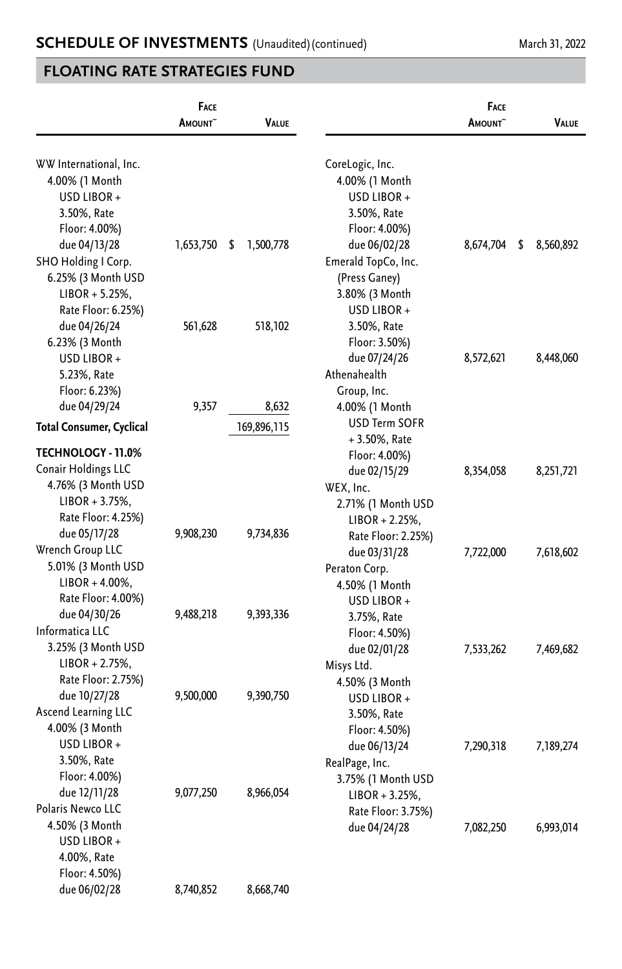|                                   | <b>FACE</b><br>AMOUNT <sup>~</sup> | VALUE           |                      | <b>FACE</b><br>AMOUNT <sup>~</sup> | <b>VALUE</b>    |
|-----------------------------------|------------------------------------|-----------------|----------------------|------------------------------------|-----------------|
|                                   |                                    |                 |                      |                                    |                 |
| WW International, Inc.            |                                    |                 | CoreLogic, Inc.      |                                    |                 |
| 4.00% (1 Month                    |                                    |                 | 4.00% (1 Month       |                                    |                 |
| USD LIBOR+                        |                                    |                 | USD LIBOR +          |                                    |                 |
| 3.50%, Rate                       |                                    |                 | 3.50%, Rate          |                                    |                 |
| Floor: 4.00%)                     |                                    |                 | Floor: 4.00%)        |                                    |                 |
| due 04/13/28                      | 1,653,750                          | 1,500,778<br>\$ | due 06/02/28         | 8,674,704                          | \$<br>8,560,892 |
| SHO Holding I Corp.               |                                    |                 | Emerald TopCo, Inc.  |                                    |                 |
| 6.25% (3 Month USD                |                                    |                 | (Press Ganey)        |                                    |                 |
| $LIBOR + 5.25\%,$                 |                                    |                 | 3.80% (3 Month       |                                    |                 |
| Rate Floor: 6.25%)                |                                    |                 | USD LIBOR +          |                                    |                 |
| due 04/26/24                      | 561,628                            | 518,102         | 3.50%, Rate          |                                    |                 |
| 6.23% (3 Month                    |                                    |                 | Floor: 3.50%)        |                                    |                 |
| USD LIBOR +                       |                                    |                 | due 07/24/26         | 8,572,621                          | 8,448,060       |
| 5.23%, Rate                       |                                    |                 | Athenahealth         |                                    |                 |
| Floor: 6.23%)                     |                                    |                 | Group, Inc.          |                                    |                 |
| due 04/29/24                      | 9,357                              | 8,632           | 4.00% (1 Month       |                                    |                 |
| <b>Total Consumer, Cyclical</b>   |                                    | 169,896,115     | <b>USD Term SOFR</b> |                                    |                 |
|                                   |                                    |                 | + 3.50%, Rate        |                                    |                 |
| <b>TECHNOLOGY - 11.0%</b>         |                                    |                 | Floor: 4.00%)        |                                    |                 |
| Conair Holdings LLC               |                                    |                 | due 02/15/29         | 8,354,058                          | 8,251,721       |
| 4.76% (3 Month USD                |                                    |                 | WEX, Inc.            |                                    |                 |
| $LIBOR + 3.75%$ ,                 |                                    |                 | 2.71% (1 Month USD   |                                    |                 |
| Rate Floor: 4.25%)                |                                    |                 | $LIBOR + 2.25%$      |                                    |                 |
| due 05/17/28                      | 9,908,230                          | 9,734,836       | Rate Floor: 2.25%)   |                                    |                 |
| Wrench Group LLC                  |                                    |                 | due 03/31/28         | 7,722,000                          | 7,618,602       |
| 5.01% (3 Month USD                |                                    |                 | Peraton Corp.        |                                    |                 |
| $LIBOR + 4.00\%,$                 |                                    |                 | 4.50% (1 Month       |                                    |                 |
| Rate Floor: 4.00%)                |                                    |                 | USD LIBOR +          |                                    |                 |
| due 04/30/26                      | 9,488,218                          | 9,393,336       | 3.75%, Rate          |                                    |                 |
| Informatica LLC                   |                                    |                 | Floor: 4.50%)        |                                    |                 |
| 3.25% (3 Month USD                |                                    |                 | due 02/01/28         | 7,533,262                          | 7,469,682       |
| $LIBOR + 2.75%$                   |                                    |                 | Misys Ltd.           |                                    |                 |
| Rate Floor: 2.75%)                |                                    |                 | 4.50% (3 Month       |                                    |                 |
| due 10/27/28                      | 9,500,000                          | 9,390,750       | USD LIBOR +          |                                    |                 |
| Ascend Learning LLC               |                                    |                 | 3.50%, Rate          |                                    |                 |
| 4.00% (3 Month                    |                                    |                 | Floor: 4.50%)        |                                    |                 |
| USD LIBOR +                       |                                    |                 | due 06/13/24         | 7,290,318                          | 7,189,274       |
| 3.50%, Rate                       |                                    |                 | RealPage, Inc.       |                                    |                 |
| Floor: 4.00%)                     |                                    | 8,966,054       | 3.75% (1 Month USD   |                                    |                 |
| due 12/11/28<br>Polaris Newco LLC | 9,077,250                          |                 | $LIBOR + 3.25%$      |                                    |                 |
|                                   |                                    |                 | Rate Floor: 3.75%)   |                                    |                 |
| 4.50% (3 Month<br>USD LIBOR +     |                                    |                 | due 04/24/28         | 7,082,250                          | 6,993,014       |
| 4.00%, Rate                       |                                    |                 |                      |                                    |                 |
| Floor: 4.50%)                     |                                    |                 |                      |                                    |                 |
| due 06/02/28                      | 8,740,852                          | 8,668,740       |                      |                                    |                 |
|                                   |                                    |                 |                      |                                    |                 |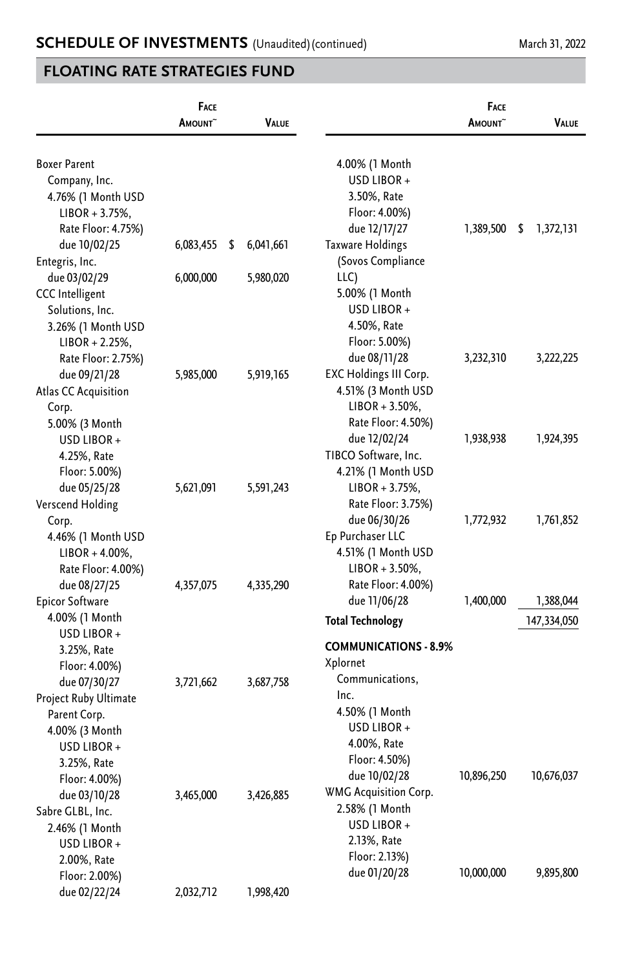|                                      | FACE<br>AMOUNT <sup>~</sup> | VALUE           |                               | <b>FACE</b><br>AMOUNT <sup>~</sup> | VALUE           |
|--------------------------------------|-----------------------------|-----------------|-------------------------------|------------------------------------|-----------------|
| <b>Boxer Parent</b><br>Company, Inc. |                             |                 | 4.00% (1 Month<br>USD LIBOR + |                                    |                 |
| 4.76% (1 Month USD                   |                             |                 | 3.50%, Rate                   |                                    |                 |
| $LIBOR + 3.75%$                      |                             |                 | Floor: 4.00%)                 |                                    |                 |
| Rate Floor: 4.75%)                   |                             |                 | due 12/17/27                  | 1,389,500                          | \$<br>1,372,131 |
| due 10/02/25                         | 6,083,455                   | \$<br>6,041,661 | <b>Taxware Holdings</b>       |                                    |                 |
| Entegris, Inc.                       |                             |                 | (Sovos Compliance             |                                    |                 |
| due 03/02/29                         | 6,000,000                   | 5,980,020       | LLC)                          |                                    |                 |
| <b>CCC</b> Intelligent               |                             |                 | 5.00% (1 Month                |                                    |                 |
| Solutions, Inc.                      |                             |                 | USD LIBOR +                   |                                    |                 |
| 3.26% (1 Month USD                   |                             |                 | 4.50%, Rate                   |                                    |                 |
| $LIBOR + 2.25%$                      |                             |                 | Floor: 5.00%)                 |                                    |                 |
| Rate Floor: 2.75%)                   |                             |                 | due 08/11/28                  | 3,232,310                          | 3,222,225       |
| due 09/21/28                         | 5,985,000                   | 5,919,165       | EXC Holdings III Corp.        |                                    |                 |
| Atlas CC Acquisition                 |                             |                 | 4.51% (3 Month USD            |                                    |                 |
| Corp.                                |                             |                 | $LIBOR + 3.50\%,$             |                                    |                 |
| 5.00% (3 Month                       |                             |                 | Rate Floor: 4.50%)            |                                    |                 |
| USD LIBOR +                          |                             |                 | due 12/02/24                  | 1,938,938                          | 1,924,395       |
| 4.25%, Rate                          |                             |                 | TIBCO Software, Inc.          |                                    |                 |
| Floor: 5.00%)                        |                             |                 | 4.21% (1 Month USD            |                                    |                 |
| due 05/25/28                         | 5,621,091                   | 5,591,243       | $LIBOR + 3.75%$ ,             |                                    |                 |
| Verscend Holding                     |                             |                 | Rate Floor: 3.75%)            |                                    |                 |
| Corp.                                |                             |                 | due 06/30/26                  | 1,772,932                          | 1,761,852       |
| 4.46% (1 Month USD                   |                             |                 | Ep Purchaser LLC              |                                    |                 |
| $LIBOR + 4.00\%$                     |                             |                 | 4.51% (1 Month USD            |                                    |                 |
| Rate Floor: 4.00%)                   |                             |                 | $LIBOR + 3.50\%$              |                                    |                 |
| due 08/27/25                         | 4,357,075                   | 4,335,290       | Rate Floor: 4.00%)            |                                    |                 |
| <b>Epicor Software</b>               |                             |                 | due 11/06/28                  | 1,400,000                          | 1,388,044       |
| 4.00% (1 Month                       |                             |                 | <b>Total Technology</b>       |                                    | 147,334,050     |
| USD LIBOR+                           |                             |                 |                               |                                    |                 |
| 3.25%, Rate                          |                             |                 | <b>COMMUNICATIONS - 8.9%</b>  |                                    |                 |
| Floor: 4.00%)                        |                             |                 | Xplornet                      |                                    |                 |
| due 07/30/27                         | 3,721,662                   | 3,687,758       | Communications,               |                                    |                 |
| Project Ruby Ultimate                |                             |                 | Inc.                          |                                    |                 |
| Parent Corp.                         |                             |                 | 4.50% (1 Month<br>USD LIBOR + |                                    |                 |
| 4.00% (3 Month                       |                             |                 | 4.00%, Rate                   |                                    |                 |
| USD LIBOR +                          |                             |                 | Floor: 4.50%)                 |                                    |                 |
| 3.25%, Rate                          |                             |                 | due 10/02/28                  | 10,896,250                         | 10,676,037      |
| Floor: 4.00%)                        |                             |                 | <b>WMG Acquisition Corp.</b>  |                                    |                 |
| due 03/10/28                         | 3,465,000                   | 3,426,885       | 2.58% (1 Month                |                                    |                 |
| Sabre GLBL, Inc.                     |                             |                 | USD LIBOR +                   |                                    |                 |
| 2.46% (1 Month                       |                             |                 | 2.13%, Rate                   |                                    |                 |
| USD LIBOR +                          |                             |                 | Floor: 2.13%)                 |                                    |                 |
| 2.00%, Rate                          |                             |                 | due 01/20/28                  | 10,000,000                         | 9,895,800       |
| Floor: 2.00%)                        |                             |                 |                               |                                    |                 |
| due 02/22/24                         | 2,032,712                   | 1,998,420       |                               |                                    |                 |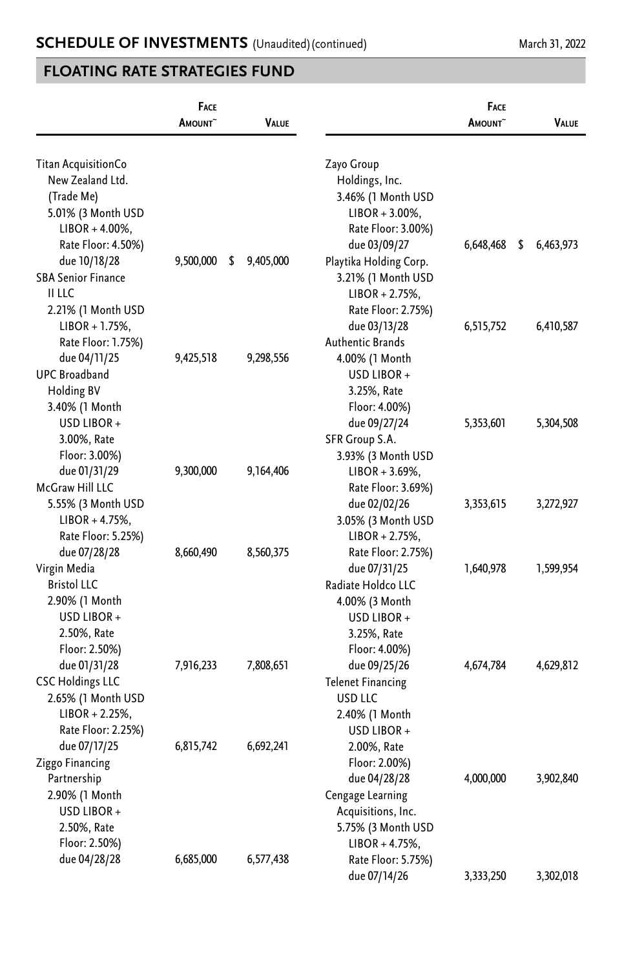|                                     | FACE<br>AMOUNT <sup>~</sup> | VALUE           |                                         | <b>FACE</b><br><b>AMOUNT</b> | VALUE           |
|-------------------------------------|-----------------------------|-----------------|-----------------------------------------|------------------------------|-----------------|
| Titan AcquisitionCo                 |                             |                 | Zayo Group                              |                              |                 |
| New Zealand Ltd.                    |                             |                 | Holdings, Inc.                          |                              |                 |
| (Trade Me)                          |                             |                 | 3.46% (1 Month USD                      |                              |                 |
| 5.01% (3 Month USD                  |                             |                 | $LIBOR + 3.00\%,$                       |                              |                 |
| $LIBOR + 4.00\%$ ,                  |                             |                 | Rate Floor: 3.00%)                      |                              |                 |
| Rate Floor: 4.50%)                  |                             |                 | due 03/09/27                            | 6,648,468                    | \$<br>6,463,973 |
| due 10/18/28                        | 9,500,000                   | 9,405,000<br>\$ | Playtika Holding Corp.                  |                              |                 |
| <b>SBA Senior Finance</b><br>II LLC |                             |                 | 3.21% (1 Month USD                      |                              |                 |
| 2.21% (1 Month USD                  |                             |                 | $LIBOR + 2.75%$ ,<br>Rate Floor: 2.75%) |                              |                 |
| $LIBOR + 1.75%$ ,                   |                             |                 | due 03/13/28                            | 6,515,752                    | 6,410,587       |
| Rate Floor: 1.75%)                  |                             |                 | <b>Authentic Brands</b>                 |                              |                 |
| due 04/11/25                        | 9,425,518                   | 9,298,556       | 4.00% (1 Month                          |                              |                 |
| <b>UPC Broadband</b>                |                             |                 | USD LIBOR +                             |                              |                 |
| <b>Holding BV</b>                   |                             |                 | 3.25%, Rate                             |                              |                 |
| 3.40% (1 Month                      |                             |                 | Floor: 4.00%)                           |                              |                 |
| USD LIBOR +                         |                             |                 | due 09/27/24                            | 5,353,601                    | 5,304,508       |
| 3.00%, Rate                         |                             |                 | SFR Group S.A.                          |                              |                 |
| Floor: 3.00%)                       |                             |                 | 3.93% (3 Month USD                      |                              |                 |
| due 01/31/29                        | 9,300,000                   | 9,164,406       | $LIBOR + 3.69\%,$                       |                              |                 |
| McGraw Hill LLC                     |                             |                 | Rate Floor: 3.69%)                      |                              |                 |
| 5.55% (3 Month USD                  |                             |                 | due 02/02/26                            | 3,353,615                    | 3,272,927       |
| $LIBOR + 4.75%$ ,                   |                             |                 | 3.05% (3 Month USD                      |                              |                 |
| Rate Floor: 5.25%)                  |                             |                 | $LIBOR + 2.75%$                         |                              |                 |
| due 07/28/28                        | 8,660,490                   | 8,560,375       | Rate Floor: 2.75%)                      |                              |                 |
| Virgin Media                        |                             |                 | due 07/31/25                            | 1,640,978                    | 1,599,954       |
| <b>Bristol LLC</b>                  |                             |                 | Radiate Holdco LLC                      |                              |                 |
| 2.90% (1 Month                      |                             |                 | 4.00% (3 Month                          |                              |                 |
| USD LIBOR +                         |                             |                 | USD LIBOR +                             |                              |                 |
| 2.50%, Rate<br>Floor: 2.50%)        |                             |                 | 3.25%, Rate                             |                              |                 |
| due 01/31/28                        | 7,916,233                   | 7,808,651       | Floor: 4.00%)<br>due 09/25/26           | 4,674,784                    | 4,629,812       |
| <b>CSC Holdings LLC</b>             |                             |                 | <b>Telenet Financing</b>                |                              |                 |
| 2.65% (1 Month USD                  |                             |                 | USD LLC                                 |                              |                 |
| $LIBOR + 2.25%$                     |                             |                 | 2.40% (1 Month                          |                              |                 |
| Rate Floor: 2.25%)                  |                             |                 | USD LIBOR +                             |                              |                 |
| due 07/17/25                        | 6,815,742                   | 6,692,241       | 2.00%, Rate                             |                              |                 |
| Ziggo Financing                     |                             |                 | Floor: 2.00%)                           |                              |                 |
| Partnership                         |                             |                 | due 04/28/28                            | 4,000,000                    | 3,902,840       |
| 2.90% (1 Month                      |                             |                 | Cengage Learning                        |                              |                 |
| USD LIBOR+                          |                             |                 | Acquisitions, Inc.                      |                              |                 |
| 2.50%, Rate                         |                             |                 | 5.75% (3 Month USD                      |                              |                 |
| Floor: 2.50%)                       |                             |                 | $LIBOR + 4.75%$ ,                       |                              |                 |
| due 04/28/28                        | 6,685,000                   | 6,577,438       | Rate Floor: 5.75%)                      |                              |                 |
|                                     |                             |                 | due 07/14/26                            | 3,333,250                    | 3,302,018       |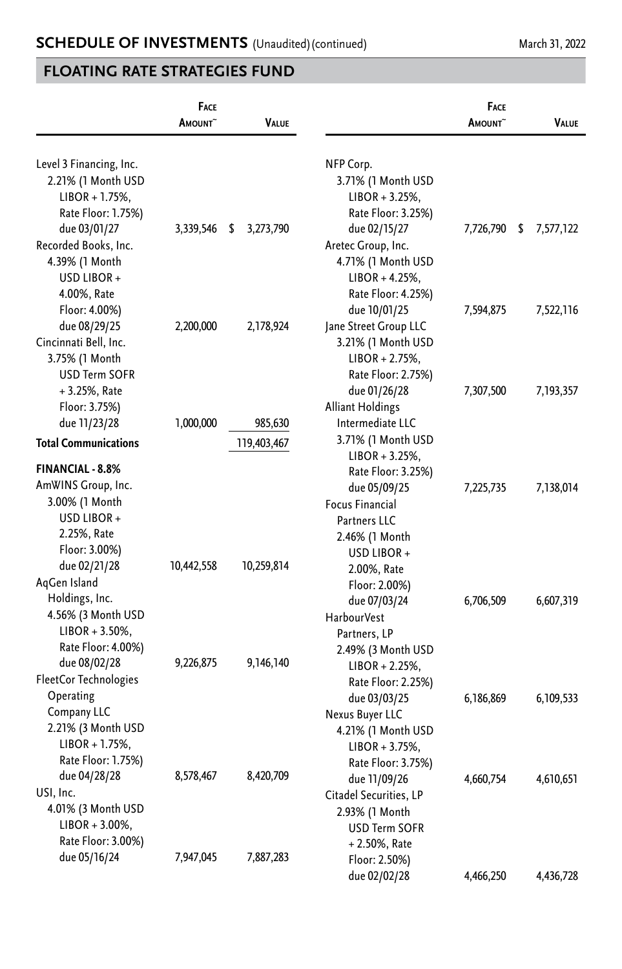|                             | FACE<br>AMOUNT <sup>~</sup> | <b>VALUE</b>    |                                    | <b>FACE</b><br>AMOUNT <sup>~</sup> | VALUE           |
|-----------------------------|-----------------------------|-----------------|------------------------------------|------------------------------------|-----------------|
| Level 3 Financing, Inc.     |                             |                 | NFP Corp.                          |                                    |                 |
| 2.21% (1 Month USD          |                             |                 | 3.71% (1 Month USD                 |                                    |                 |
| $LIBOR + 1.75%$             |                             |                 | $LIBOR + 3.25%$                    |                                    |                 |
| Rate Floor: 1.75%)          |                             |                 | Rate Floor: 3.25%)                 |                                    |                 |
| due 03/01/27                | 3,339,546                   | \$<br>3,273,790 | due 02/15/27                       | 7,726,790                          | \$<br>7,577,122 |
| Recorded Books, Inc.        |                             |                 | Aretec Group, Inc.                 |                                    |                 |
| 4.39% (1 Month              |                             |                 | 4.71% (1 Month USD                 |                                    |                 |
| USD LIBOR +                 |                             |                 | $LIBOR + 4.25%$ ,                  |                                    |                 |
| 4.00%, Rate                 |                             |                 | Rate Floor: 4.25%)                 |                                    |                 |
| Floor: 4.00%)               |                             |                 | due 10/01/25                       | 7,594,875                          | 7,522,116       |
| due 08/29/25                | 2,200,000                   | 2,178,924       | Jane Street Group LLC              |                                    |                 |
| Cincinnati Bell, Inc.       |                             |                 | 3.21% (1 Month USD                 |                                    |                 |
| 3.75% (1 Month              |                             |                 | $LIBOR + 2.75%$                    |                                    |                 |
| <b>USD Term SOFR</b>        |                             |                 | Rate Floor: 2.75%)                 |                                    |                 |
| + 3.25%, Rate               |                             |                 | due 01/26/28                       | 7,307,500                          | 7,193,357       |
| Floor: 3.75%)               |                             |                 | <b>Alliant Holdings</b>            |                                    |                 |
| due 11/23/28                | 1,000,000                   | 985,630         | Intermediate LLC                   |                                    |                 |
| <b>Total Communications</b> |                             | 119,403,467     | 3.71% (1 Month USD                 |                                    |                 |
| <b>FINANCIAL - 8.8%</b>     |                             |                 | $LIBOR + 3.25%$                    |                                    |                 |
| AmWINS Group, Inc.          |                             |                 | Rate Floor: 3.25%)<br>due 05/09/25 | 7,225,735                          | 7,138,014       |
| 3.00% (1 Month              |                             |                 | Focus Financial                    |                                    |                 |
| USD LIBOR +                 |                             |                 | <b>Partners LLC</b>                |                                    |                 |
| 2.25%, Rate                 |                             |                 | 2.46% (1 Month                     |                                    |                 |
| Floor: 3.00%)               |                             |                 | USD LIBOR +                        |                                    |                 |
| due 02/21/28                | 10,442,558                  | 10,259,814      | 2.00%, Rate                        |                                    |                 |
| AqGen Island                |                             |                 | Floor: 2.00%)                      |                                    |                 |
| Holdings, Inc.              |                             |                 | due 07/03/24                       | 6,706,509                          | 6,607,319       |
| 4.56% (3 Month USD          |                             |                 | <b>HarbourVest</b>                 |                                    |                 |
| $LIBOR + 3.50\%,$           |                             |                 | Partners, LP                       |                                    |                 |
| Rate Floor: 4.00%)          |                             |                 | 2.49% (3 Month USD                 |                                    |                 |
| due 08/02/28                | 9,226,875                   | 9,146,140       | $LIBOR + 2.25%$                    |                                    |                 |
| FleetCor Technologies       |                             |                 | Rate Floor: 2.25%)                 |                                    |                 |
| Operating                   |                             |                 | due 03/03/25                       | 6,186,869                          | 6,109,533       |
| Company LLC                 |                             |                 | Nexus Buyer LLC                    |                                    |                 |
| 2.21% (3 Month USD          |                             |                 | 4.21% (1 Month USD                 |                                    |                 |
| $LIBOR + 1.75%$             |                             |                 | $LIBOR + 3.75%$ ,                  |                                    |                 |
| Rate Floor: 1.75%)          |                             |                 | Rate Floor: 3.75%)                 |                                    |                 |
| due 04/28/28                | 8,578,467                   | 8,420,709       | due 11/09/26                       | 4,660,754                          | 4,610,651       |
| USI, Inc.                   |                             |                 | Citadel Securities, LP             |                                    |                 |
| 4.01% (3 Month USD          |                             |                 | 2.93% (1 Month                     |                                    |                 |
| $LIBOR + 3.00\%,$           |                             |                 | <b>USD Term SOFR</b>               |                                    |                 |
| Rate Floor: 3.00%)          |                             |                 | $+2.50\%$ , Rate                   |                                    |                 |
| due 05/16/24                | 7,947,045                   | 7,887,283       | Floor: 2.50%)                      |                                    |                 |
|                             |                             |                 | due 02/02/28                       | 4,466,250                          | 4,436,728       |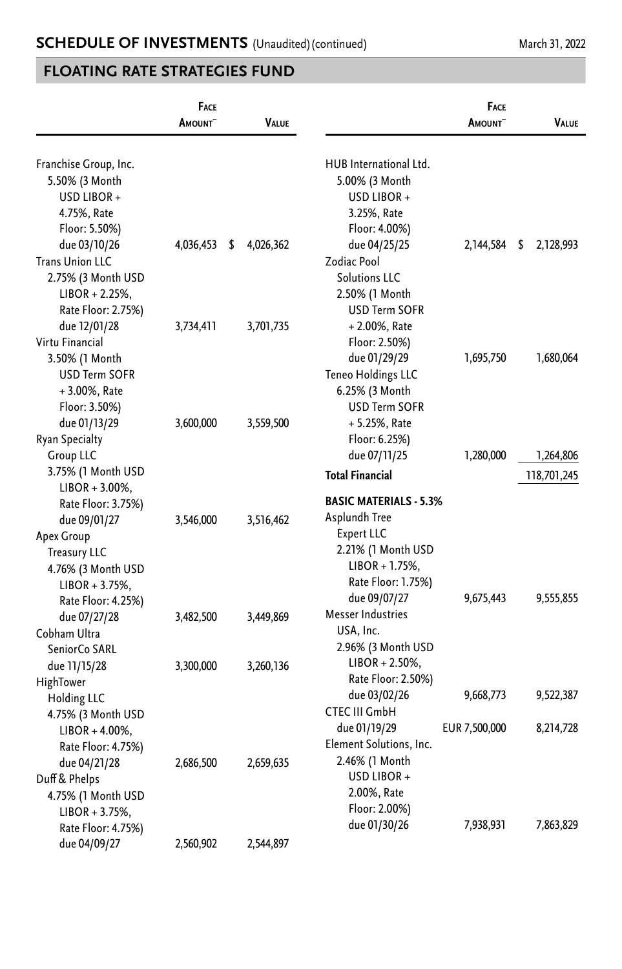|                        | FACE<br><b>A</b> mount~ | <b>VALUE</b>    |                               | FACE<br><b>A</b> mount^ | <b>VALUE</b>    |
|------------------------|-------------------------|-----------------|-------------------------------|-------------------------|-----------------|
| Franchise Group, Inc.  |                         |                 | HUB International Ltd.        |                         |                 |
| 5.50% (3 Month         |                         |                 | 5.00% (3 Month                |                         |                 |
| USD LIBOR +            |                         |                 | USD LIBOR +                   |                         |                 |
| 4.75%, Rate            |                         |                 | 3.25%, Rate                   |                         |                 |
| Floor: 5.50%)          |                         |                 | Floor: 4.00%)                 |                         |                 |
| due 03/10/26           | 4,036,453               | \$<br>4,026,362 | due 04/25/25                  | 2,144,584               | \$<br>2,128,993 |
| <b>Trans Union LLC</b> |                         |                 | Zodiac Pool                   |                         |                 |
| 2.75% (3 Month USD     |                         |                 | <b>Solutions LLC</b>          |                         |                 |
| $LIBOR + 2.25%$        |                         |                 | 2.50% (1 Month                |                         |                 |
| Rate Floor: 2.75%)     |                         |                 | <b>USD Term SOFR</b>          |                         |                 |
| due 12/01/28           | 3,734,411               | 3,701,735       | + 2.00%, Rate                 |                         |                 |
| Virtu Financial        |                         |                 | Floor: 2.50%)                 |                         |                 |
| 3.50% (1 Month         |                         |                 | due 01/29/29                  | 1,695,750               | 1,680,064       |
| <b>USD Term SOFR</b>   |                         |                 | Teneo Holdings LLC            |                         |                 |
| $+3.00\%$ , Rate       |                         |                 | 6.25% (3 Month                |                         |                 |
| Floor: 3.50%)          |                         |                 | <b>USD Term SOFR</b>          |                         |                 |
| due 01/13/29           | 3,600,000               | 3,559,500       | + 5.25%, Rate                 |                         |                 |
| Ryan Specialty         |                         |                 | Floor: 6.25%)                 |                         |                 |
| <b>Group LLC</b>       |                         |                 | due 07/11/25                  | 1,280,000               | 1,264,806       |
| 3.75% (1 Month USD     |                         |                 | <b>Total Financial</b>        |                         |                 |
| $LIBOR + 3.00\%$ ,     |                         |                 |                               |                         | 118,701,245     |
| Rate Floor: 3.75%)     |                         |                 | <b>BASIC MATERIALS - 5.3%</b> |                         |                 |
| due 09/01/27           | 3,546,000               | 3,516,462       | Asplundh Tree                 |                         |                 |
| Apex Group             |                         |                 | Expert LLC                    |                         |                 |
| <b>Treasury LLC</b>    |                         |                 | 2.21% (1 Month USD            |                         |                 |
| 4.76% (3 Month USD     |                         |                 | $LIBOR + 1.75%$ ,             |                         |                 |
| $LIBOR + 3.75%$        |                         |                 | Rate Floor: 1.75%)            |                         |                 |
| Rate Floor: 4.25%)     |                         |                 | due 09/07/27                  | 9,675,443               | 9,555,855       |
| due 07/27/28           | 3,482,500               | 3,449,869       | Messer Industries             |                         |                 |
| Cobham Ultra           |                         |                 | USA, Inc.                     |                         |                 |
| SeniorCo SARL          |                         |                 | 2.96% (3 Month USD            |                         |                 |
| due 11/15/28           | 3,300,000               | 3,260,136       | $LIBOR + 2.50\%,$             |                         |                 |
| HighTower              |                         |                 | Rate Floor: 2.50%)            |                         |                 |
| Holding LLC            |                         |                 | due 03/02/26                  | 9,668,773               | 9,522,387       |
| 4.75% (3 Month USD     |                         |                 | CTEC III GmbH                 |                         |                 |
| $LIBOR + 4.00\%$ ,     |                         |                 | due 01/19/29                  | EUR 7,500,000           | 8,214,728       |
| Rate Floor: 4.75%)     |                         |                 | Element Solutions, Inc.       |                         |                 |
| due 04/21/28           | 2,686,500               | 2,659,635       | 2.46% (1 Month                |                         |                 |
| Duff & Phelps          |                         |                 | USD LIBOR +                   |                         |                 |
| 4.75% (1 Month USD     |                         |                 | 2.00%, Rate                   |                         |                 |
| $LIBOR + 3.75%$ ,      |                         |                 | Floor: 2.00%)                 |                         |                 |
| Rate Floor: 4.75%)     |                         |                 | due 01/30/26                  | 7,938,931               | 7,863,829       |
| due 04/09/27           | 2,560,902               | 2,544,897       |                               |                         |                 |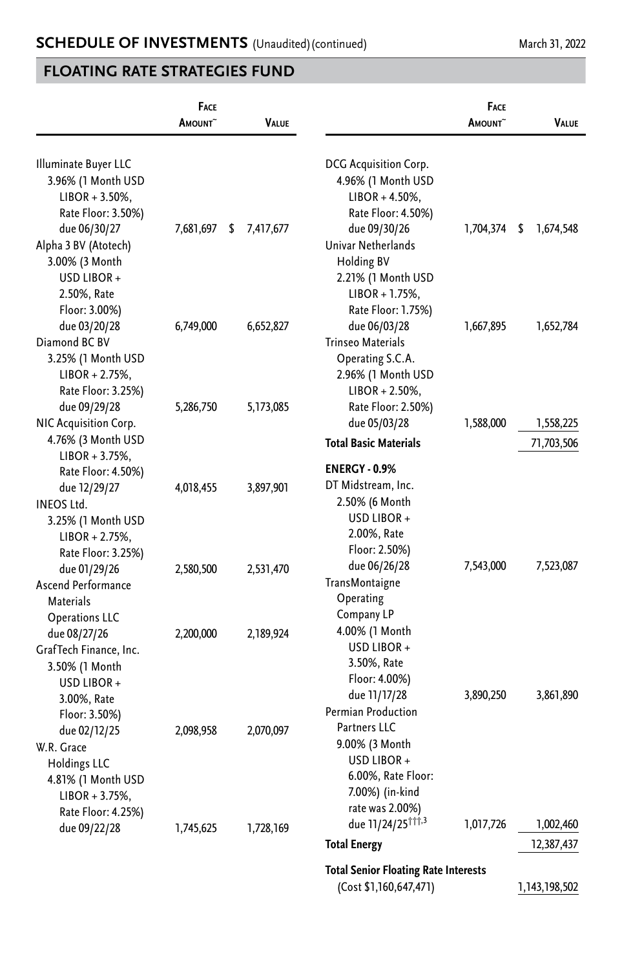|                                       | FACE<br>AMOUNT <sup>~</sup> | <b>VALUE</b>    |                                             | FACE<br><b>A</b> mount^ | VALUE           |
|---------------------------------------|-----------------------------|-----------------|---------------------------------------------|-------------------------|-----------------|
| Illuminate Buyer LLC                  |                             |                 | DCG Acquisition Corp.                       |                         |                 |
| 3.96% (1 Month USD                    |                             |                 | 4.96% (1 Month USD                          |                         |                 |
| $LIBOR + 3.50\%,$                     |                             |                 | $LIBOR + 4.50\%,$                           |                         |                 |
| Rate Floor: 3.50%)                    |                             |                 | Rate Floor: 4.50%)                          |                         |                 |
| due 06/30/27                          | 7,681,697                   | \$<br>7,417,677 | due 09/30/26                                | 1,704,374               | \$<br>1,674,548 |
| Alpha 3 BV (Atotech)                  |                             |                 | Univar Netherlands                          |                         |                 |
| 3.00% (3 Month                        |                             |                 | <b>Holding BV</b>                           |                         |                 |
| USD LIBOR +                           |                             |                 | 2.21% (1 Month USD                          |                         |                 |
| 2.50%, Rate                           |                             |                 | $LIBOR + 1.75%$ ,                           |                         |                 |
| Floor: 3.00%)                         |                             |                 | Rate Floor: 1.75%)                          |                         |                 |
| due 03/20/28                          | 6,749,000                   | 6,652,827       | due 06/03/28                                | 1,667,895               | 1,652,784       |
| Diamond BC BV                         |                             |                 | Trinseo Materials                           |                         |                 |
| 3.25% (1 Month USD                    |                             |                 | Operating S.C.A.                            |                         |                 |
| $LIBOR + 2.75%$                       |                             |                 | 2.96% (1 Month USD                          |                         |                 |
| Rate Floor: 3.25%)                    |                             |                 | $LIBOR + 2.50\%,$                           |                         |                 |
| due 09/29/28                          | 5,286,750                   | 5,173,085       | Rate Floor: 2.50%)                          | 1,588,000               |                 |
| NIC Acquisition Corp.                 |                             |                 | due 05/03/28                                |                         | 1,558,225       |
| 4.76% (3 Month USD<br>$LIBOR + 3.75%$ |                             |                 | <b>Total Basic Materials</b>                |                         | 71,703,506      |
| Rate Floor: 4.50%)                    |                             |                 | <b>ENERGY - 0.9%</b>                        |                         |                 |
| due 12/29/27                          | 4,018,455                   | 3,897,901       | DT Midstream, Inc.                          |                         |                 |
| <b>INEOS Ltd.</b>                     |                             |                 | 2.50% (6 Month                              |                         |                 |
| 3.25% (1 Month USD                    |                             |                 | USD LIBOR +                                 |                         |                 |
| $LIBOR + 2.75%$ ,                     |                             |                 | 2.00%, Rate                                 |                         |                 |
| Rate Floor: 3.25%)                    |                             |                 | Floor: 2.50%)                               |                         |                 |
| due 01/29/26                          | 2,580,500                   | 2,531,470       | due 06/26/28                                | 7,543,000               | 7,523,087       |
| Ascend Performance                    |                             |                 | TransMontaigne                              |                         |                 |
| Materials                             |                             |                 | Operating                                   |                         |                 |
| <b>Operations LLC</b>                 |                             |                 | Company LP                                  |                         |                 |
| due 08/27/26                          | 2,200,000                   | 2,189,924       | 4.00% (1 Month                              |                         |                 |
| GrafTech Finance, Inc.                |                             |                 | USD LIBOR +                                 |                         |                 |
| 3.50% (1 Month                        |                             |                 | 3.50%, Rate                                 |                         |                 |
| USD LIBOR +                           |                             |                 | Floor: 4.00%)                               |                         |                 |
| 3.00%, Rate                           |                             |                 | due 11/17/28                                | 3,890,250               | 3,861,890       |
| Floor: 3.50%)                         |                             |                 | Permian Production                          |                         |                 |
| due 02/12/25                          | 2,098,958                   | 2,070,097       | Partners LLC                                |                         |                 |
| W.R. Grace                            |                             |                 | 9.00% (3 Month                              |                         |                 |
| <b>Holdings LLC</b>                   |                             |                 | USD LIBOR+                                  |                         |                 |
| 4.81% (1 Month USD                    |                             |                 | 6.00%, Rate Floor:                          |                         |                 |
| $LIBOR + 3.75%$ ,                     |                             |                 | 7.00%) (in-kind                             |                         |                 |
| Rate Floor: 4.25%)                    |                             |                 | rate was 2.00%)                             |                         |                 |
| due 09/22/28                          | 1,745,625                   | 1,728,169       | due 11/24/25 <sup>†††,3</sup>               | 1,017,726               | 1,002,460       |
|                                       |                             |                 | <b>Total Energy</b>                         |                         | 12,387,437      |
|                                       |                             |                 | <b>Total Senior Floating Rate Interests</b> |                         |                 |
|                                       |                             |                 | (Cost \$1,160,647,471)                      |                         | 1,143,198,502   |
|                                       |                             |                 |                                             |                         |                 |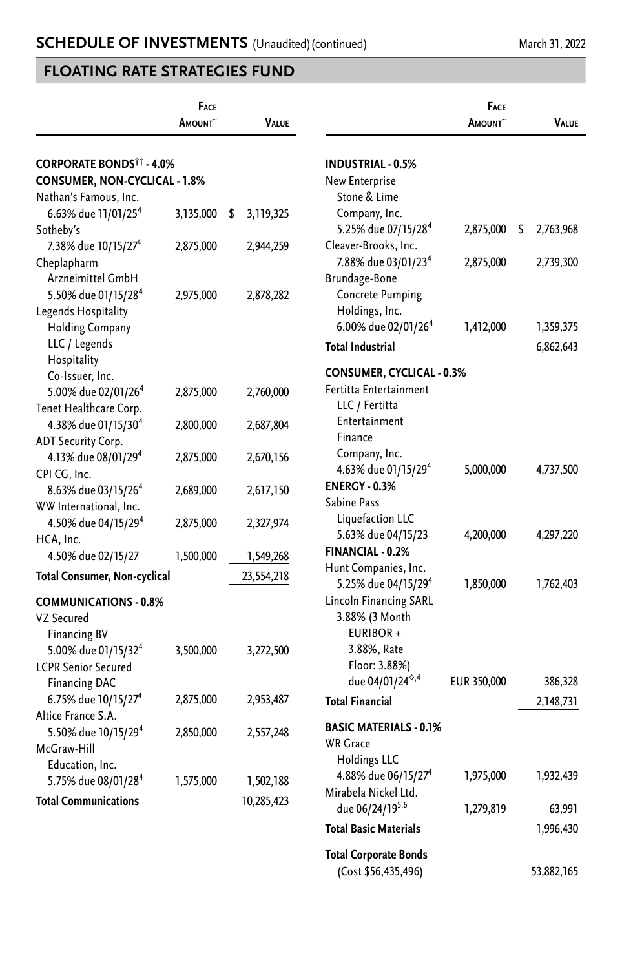|                                            | FACE<br>AMOUNT <sup>~</sup> | <b>VALUE</b>    |                                                         | FACE<br>AMOUNT <sup>~</sup> | <b>VALUE</b>    |
|--------------------------------------------|-----------------------------|-----------------|---------------------------------------------------------|-----------------------------|-----------------|
|                                            |                             |                 |                                                         |                             |                 |
| <b>CORPORATE BONDS<sup>TT</sup> - 4.0%</b> |                             |                 | <b>INDUSTRIAL - 0.5%</b>                                |                             |                 |
| CONSUMER, NON-CYCLICAL - 1.8%              |                             |                 | New Enterprise                                          |                             |                 |
| Nathan's Famous, Inc.                      |                             |                 | Stone & Lime                                            |                             |                 |
| 6.63% due 11/01/25 <sup>4</sup>            | 3,135,000                   | 3,119,325<br>\$ | Company, Inc.                                           |                             |                 |
| Sotheby's                                  |                             |                 | 5.25% due 07/15/28 <sup>4</sup>                         | 2,875,000                   | 2,763,968<br>\$ |
| 7.38% due 10/15/27 <sup>4</sup>            | 2,875,000                   | 2,944,259       | Cleaver-Brooks, Inc.                                    |                             |                 |
| Cheplapharm                                |                             |                 | 7.88% due 03/01/23 <sup>4</sup>                         | 2,875,000                   | 2,739,300       |
| Arzneimittel GmbH                          |                             |                 | Brundage-Bone                                           |                             |                 |
| 5.50% due 01/15/28 <sup>4</sup>            | 2,975,000                   | 2,878,282       | <b>Concrete Pumping</b>                                 |                             |                 |
| Legends Hospitality                        |                             |                 | Holdings, Inc.                                          |                             |                 |
| <b>Holding Company</b>                     |                             |                 | 6.00% due 02/01/26 <sup>4</sup>                         | 1,412,000                   | 1,359,375       |
| LLC / Legends                              |                             |                 | <b>Total Industrial</b>                                 |                             | 6,862,643       |
| Hospitality                                |                             |                 |                                                         |                             |                 |
| Co-Issuer, Inc.                            |                             |                 | <b>CONSUMER, CYCLICAL - 0.3%</b>                        |                             |                 |
| 5.00% due 02/01/26 <sup>4</sup>            | 2,875,000                   | 2,760,000       | Fertitta Entertainment                                  |                             |                 |
| Tenet Healthcare Corp.                     |                             |                 | LLC / Fertitta                                          |                             |                 |
| 4.38% due 01/15/30 <sup>4</sup>            | 2,800,000                   | 2,687,804       | Entertainment                                           |                             |                 |
| ADT Security Corp.                         |                             |                 | Finance                                                 |                             |                 |
| 4.13% due 08/01/29 <sup>4</sup>            | 2,875,000                   | 2,670,156       | Company, Inc.                                           |                             |                 |
| CPI CG, Inc.                               |                             |                 | 4.63% due 01/15/29 <sup>4</sup>                         | 5,000,000                   | 4,737,500       |
| 8.63% due 03/15/26 <sup>4</sup>            | 2,689,000                   | 2,617,150       | <b>ENERGY - 0.3%</b>                                    |                             |                 |
| WW International, Inc.                     |                             |                 | Sabine Pass                                             |                             |                 |
| 4.50% due 04/15/29 <sup>4</sup>            | 2,875,000                   | 2,327,974       | Liquefaction LLC                                        |                             |                 |
| HCA, Inc.                                  |                             |                 | 5.63% due 04/15/23                                      | 4,200,000                   | 4,297,220       |
| 4.50% due 02/15/27                         | 1,500,000                   | 1,549,268       | <b>FINANCIAL - 0.2%</b>                                 |                             |                 |
| <b>Total Consumer, Non-cyclical</b>        |                             | 23,554,218      | Hunt Companies, Inc.<br>5.25% due 04/15/29 <sup>4</sup> | 1,850,000                   | 1,762,403       |
| <b>COMMUNICATIONS - 0.8%</b>               |                             |                 | Lincoln Financing SARL                                  |                             |                 |
| VZ Secured                                 |                             |                 | 3.88% (3 Month                                          |                             |                 |
| <b>Financing BV</b>                        |                             |                 | EURIBOR+                                                |                             |                 |
| 5.00% due 01/15/32 <sup>4</sup>            | 3,500,000                   | 3,272,500       | 3.88%, Rate                                             |                             |                 |
| <b>LCPR Senior Secured</b>                 |                             |                 | Floor: 3.88%)                                           |                             |                 |
| <b>Financing DAC</b>                       |                             |                 | due 04/01/24 <sup>6,4</sup>                             | EUR 350,000                 | 386,328         |
| 6.75% due 10/15/27 <sup>4</sup>            | 2,875,000                   | 2,953,487       | <b>Total Financial</b>                                  |                             | 2,148,731       |
| Altice France S.A.                         |                             |                 |                                                         |                             |                 |
| 5.50% due 10/15/29 <sup>4</sup>            | 2,850,000                   | 2,557,248       | <b>BASIC MATERIALS - 0.1%</b>                           |                             |                 |
| McGraw-Hill                                |                             |                 | <b>WR Grace</b>                                         |                             |                 |
| Education, Inc.                            |                             |                 | <b>Holdings LLC</b>                                     |                             |                 |
| 5.75% due 08/01/28 <sup>4</sup>            | 1,575,000                   | 1,502,188       | 4.88% due 06/15/27 <sup>4</sup>                         | 1,975,000                   | 1,932,439       |
| <b>Total Communications</b>                |                             | 10,285,423      | Mirabela Nickel Ltd.                                    |                             |                 |
|                                            |                             |                 | due 06/24/195,6<br><b>Total Basic Materials</b>         | 1,279,819                   | 63,991          |
|                                            |                             |                 |                                                         |                             | 1,996,430       |
|                                            |                             |                 | <b>Total Corporate Bonds</b>                            |                             |                 |
|                                            |                             |                 | (Cost \$56,435,496)                                     |                             | 53,882,165      |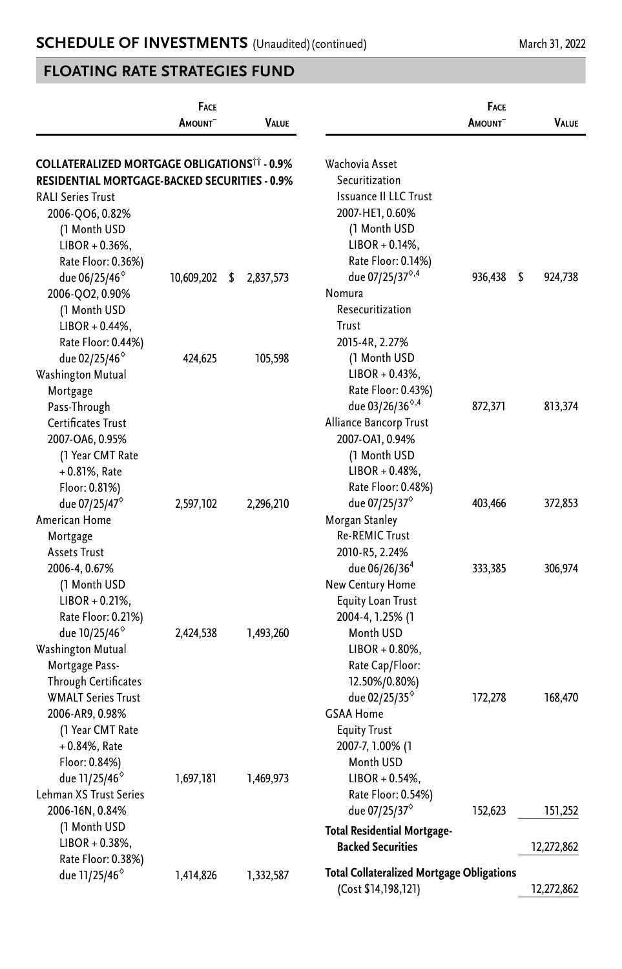|                                                                                                                                | <b>FACE</b><br><b>A</b> mount~ | VALUE           |                                                                                                                                     | FACE<br><b>A</b> mount~ | VALUE         |
|--------------------------------------------------------------------------------------------------------------------------------|--------------------------------|-----------------|-------------------------------------------------------------------------------------------------------------------------------------|-------------------------|---------------|
| <b>COLLATERALIZED MORTGAGE OBLIGATIONS<sup>11</sup> - 0.9%</b><br>RESIDENTIAL MORTGAGE-BACKED SECURITIES - 0.9%                |                                |                 | Wachovia Asset<br>Securitization                                                                                                    |                         |               |
| <b>RALI Series Trust</b><br>2006-QO6, 0.82%<br>(1 Month USD<br>$LIBOR + 0.36\%$ ,<br>Rate Floor: 0.36%)                        |                                |                 | <b>Issuance II LLC Trust</b><br>2007-HE1, 0.60%<br>(1 Month USD<br>$LIBOR + 0.14%$<br>Rate Floor: 0.14%)                            |                         |               |
| due 06/25/46 <sup>°</sup><br>2006-QO2, 0.90%<br>(1 Month USD<br>$LIBOR + 0.44\%,$                                              | 10,609,202                     | 2,837,573<br>\$ | due 07/25/37 <sup>0,4</sup><br>Nomura<br>Resecuritization<br>Trust                                                                  | 936,438                 | \$<br>924,738 |
| Rate Floor: 0.44%)<br>due 02/25/46°<br><b>Washington Mutual</b><br>Mortgage                                                    | 424,625                        | 105,598         | 2015-4R, 2.27%<br>(1 Month USD<br>$LIBOR + 0.43\%,$<br>Rate Floor: 0.43%)                                                           |                         |               |
| Pass-Through<br>Certificates Trust<br>2007-OA6, 0.95%<br>(1 Year CMT Rate<br>$+0.81\%$ , Rate<br>Floor: 0.81%)                 |                                |                 | due 03/26/36 <sup>6,4</sup><br>Alliance Bancorp Trust<br>2007-OA1, 0.94%<br>(1 Month USD<br>$LIBOR + 0.48\%,$<br>Rate Floor: 0.48%) | 872,371                 | 813,374       |
| due 07/25/47°<br>American Home<br>Mortgage<br><b>Assets Trust</b>                                                              | 2,597,102                      | 2,296,210       | due 07/25/37 <sup>°</sup><br>Morgan Stanley<br><b>Re-REMIC Trust</b><br>2010-R5, 2.24%                                              | 403,466                 | 372,853       |
| 2006-4, 0.67%<br>(1 Month USD<br>$LIBOR + 0.21%$<br>Rate Floor: 0.21%)                                                         |                                |                 | due 06/26/36 <sup>4</sup><br>New Century Home<br><b>Equity Loan Trust</b><br>2004-4, 1.25% (1                                       | 333,385                 | 306,974       |
| due 10/25/46 <sup>°</sup><br>Washington Mutual<br>Mortgage Pass-<br><b>Through Certificates</b><br><b>WMALT Series Trust</b>   | 2,424,538                      | 1,493,260       | Month USD<br>$LIBOR + 0.80\%$ ,<br>Rate Cap/Floor:<br>12.50%/0.80%)<br>due 02/25/35 <sup>°</sup>                                    | 172,278                 | 168,470       |
| 2006-AR9, 0.98%<br>(1 Year CMT Rate<br>$+0.84%$ , Rate<br>Floor: 0.84%)<br>due 11/25/46 <sup>°</sup><br>Lehman XS Trust Series | 1,697,181                      | 1,469,973       | <b>GSAA Home</b><br><b>Equity Trust</b><br>2007-7, 1.00% (1<br>Month USD<br>$LIBOR + 0.54\%,$<br>Rate Floor: 0.54%)                 |                         |               |
| 2006-16N, 0.84%<br>(1 Month USD                                                                                                |                                |                 | due 07/25/37 $^{\circ}$<br>Total Residential Mortgage-                                                                              | 152,623                 | 151,252       |
| $LIBOR + 0.38\%,$<br>Rate Floor: 0.38%)<br>due 11/25/46 <sup>°</sup>                                                           | 1,414,826                      | 1,332,587       | <b>Backed Securities</b><br><b>Total Collateralized Mortgage Obligations</b>                                                        |                         | 12,272,862    |
|                                                                                                                                |                                |                 | (Cost \$14,198,121)                                                                                                                 |                         | 12,272,862    |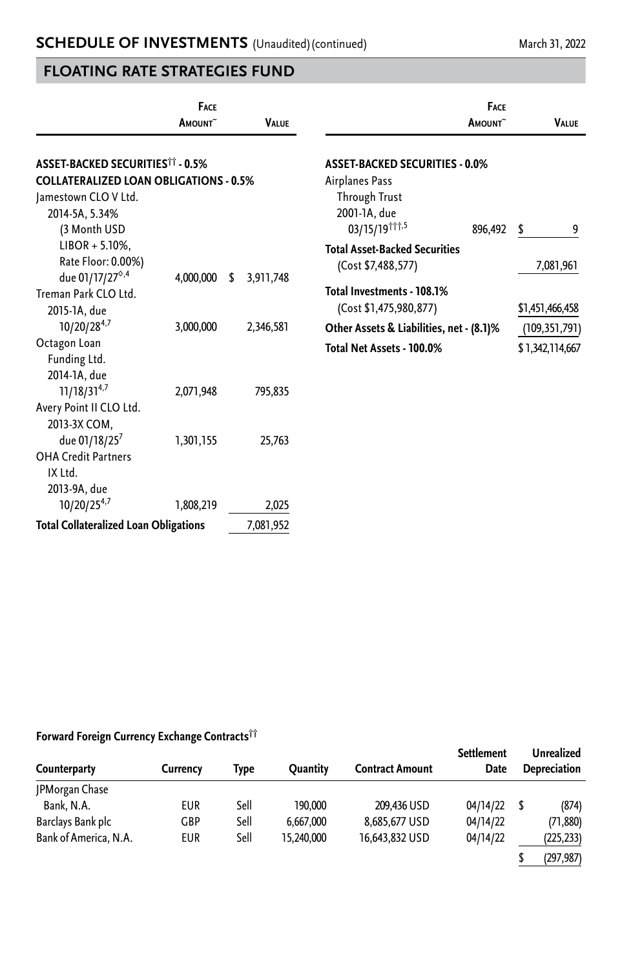|                                                                                                                                                               | <b>FACE</b>         |                    | <b>FACE</b>                                                                                                                 |                                                       |  |
|---------------------------------------------------------------------------------------------------------------------------------------------------------------|---------------------|--------------------|-----------------------------------------------------------------------------------------------------------------------------|-------------------------------------------------------|--|
|                                                                                                                                                               | AMOUNT <sup>~</sup> | <b>VALUE</b>       | AMOUNT <sup>~</sup>                                                                                                         | <b>VALUE</b>                                          |  |
| <b>ASSET-BACKED SECURITIES<sup>11</sup> - 0.5%</b><br><b>COLLATERALIZED LOAN OBLIGATIONS - 0.5%</b><br>Jamestown CLO V Ltd.<br>2014-5A, 5.34%<br>(3 Month USD |                     |                    | <b>ASSET-BACKED SECURITIES - 0.0%</b><br>Airplanes Pass<br><b>Through Trust</b><br>2001-1A, due<br>03/15/19 11,5<br>896,492 | \$<br>9                                               |  |
| $LIBOR + 5.10\%$ ,<br>Rate Floor: 0.00%)<br>due 01/17/27 <sup>6,4</sup><br>Treman Park CLO Ltd.                                                               | 4,000,000           | 3,911,748<br>S     | <b>Total Asset-Backed Securities</b><br>(Cost \$7,488,577)<br>Total Investments - 108.1%                                    | 7,081,961                                             |  |
| 2015-1A, due<br>10/20/284,7<br>Octagon Loan                                                                                                                   | 3,000,000           | 2,346,581          | (Cost \$1,475,980,877)<br>Other Assets & Liabilities, net - (8.1)%<br>Total Net Assets - 100.0%                             | \$1,451,466,458<br>(109, 351, 791)<br>\$1,342,114,667 |  |
| Funding Ltd.<br>2014-1A, due<br>$11/18/31^{4,7}$<br>Avery Point II CLO Ltd.                                                                                   | 2,071,948           | 795,835            |                                                                                                                             |                                                       |  |
| 2013-3X COM,<br>due 01/18/25 <sup>7</sup><br><b>OHA Credit Partners</b><br>IX Ltd.                                                                            | 1,301,155           | 25,763             |                                                                                                                             |                                                       |  |
| 2013-9A, due<br>10/20/254,7<br><b>Total Collateralized Loan Obligations</b>                                                                                   | 1,808,219           | 2,025<br>7,081,952 |                                                                                                                             |                                                       |  |

#### **Forward Foreign Currency Exchange Contracts††**

| Counterparty          | Currency   | Type | Ouantity   | <b>Contract Amount</b> | Settlement<br>Date | <b>Unrealized</b><br>Depreciation |  |
|-----------------------|------------|------|------------|------------------------|--------------------|-----------------------------------|--|
| JPMorgan Chase        |            |      |            |                        |                    |                                   |  |
| Bank, N.A.            | <b>EUR</b> | Sell | 190.000    | 209,436 USD            | 04/14/22           | (874)                             |  |
| Barclays Bank plc     | <b>GBP</b> | Sell | 6,667,000  | 8,685,677 USD          | 04/14/22           | (71, 880)                         |  |
| Bank of America, N.A. | <b>EUR</b> | Sell | 15,240,000 | 16,643,832 USD         | 04/14/22           | (225, 233)                        |  |
|                       |            |      |            |                        |                    | (297,987)                         |  |